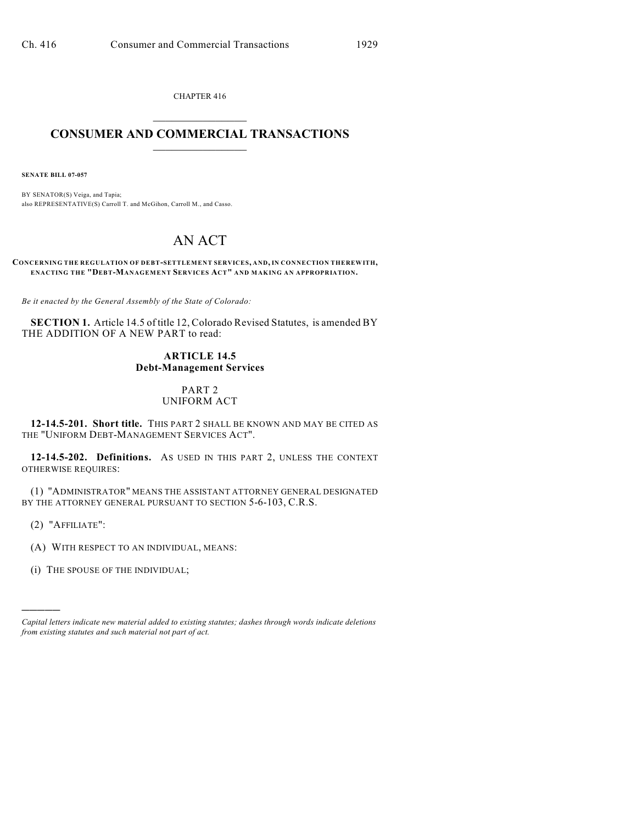CHAPTER 416  $\mathcal{L}_\text{max}$  . The set of the set of the set of the set of the set of the set of the set of the set of the set of the set of the set of the set of the set of the set of the set of the set of the set of the set of the set

## **CONSUMER AND COMMERCIAL TRANSACTIONS**  $\frac{1}{2}$  ,  $\frac{1}{2}$  ,  $\frac{1}{2}$  ,  $\frac{1}{2}$  ,  $\frac{1}{2}$  ,  $\frac{1}{2}$

**SENATE BILL 07-057**

BY SENATOR(S) Veiga, and Tapia; also REPRESENTATIVE(S) Carroll T. and McGihon, Carroll M., and Casso.

# AN ACT

**CONCERNING THE REGULATION OF DEBT-SETTLEMENT SERVICES, AND, IN CONNECTION THEREWITH, ENACTING THE "DEBT-MANAGEMENT SERVICES ACT" AND MAKING AN APPROPRIATION.**

*Be it enacted by the General Assembly of the State of Colorado:*

**SECTION 1.** Article 14.5 of title 12, Colorado Revised Statutes, is amended BY THE ADDITION OF A NEW PART to read:

## **ARTICLE 14.5 Debt-Management Services**

## PART 2 UNIFORM ACT

**12-14.5-201. Short title.** THIS PART 2 SHALL BE KNOWN AND MAY BE CITED AS THE "UNIFORM DEBT-MANAGEMENT SERVICES ACT".

**12-14.5-202. Definitions.** AS USED IN THIS PART 2, UNLESS THE CONTEXT OTHERWISE REQUIRES:

(1) "ADMINISTRATOR" MEANS THE ASSISTANT ATTORNEY GENERAL DESIGNATED BY THE ATTORNEY GENERAL PURSUANT TO SECTION 5-6-103, C.R.S.

(2) "AFFILIATE":

)))))

- (A) WITH RESPECT TO AN INDIVIDUAL, MEANS:
- (i) THE SPOUSE OF THE INDIVIDUAL;

*Capital letters indicate new material added to existing statutes; dashes through words indicate deletions from existing statutes and such material not part of act.*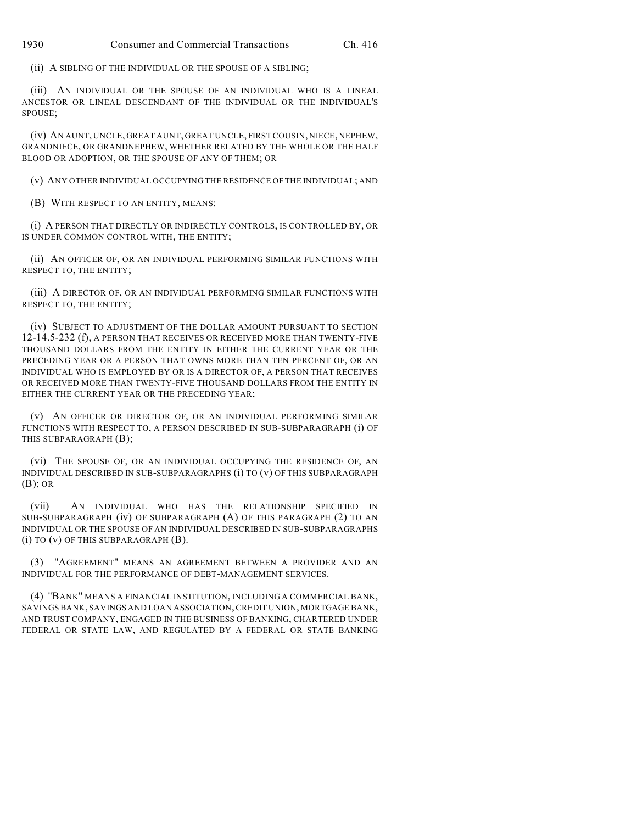(ii) A SIBLING OF THE INDIVIDUAL OR THE SPOUSE OF A SIBLING;

(iii) AN INDIVIDUAL OR THE SPOUSE OF AN INDIVIDUAL WHO IS A LINEAL ANCESTOR OR LINEAL DESCENDANT OF THE INDIVIDUAL OR THE INDIVIDUAL'S SPOUSE;

(iv) AN AUNT, UNCLE, GREAT AUNT, GREAT UNCLE, FIRST COUSIN, NIECE, NEPHEW, GRANDNIECE, OR GRANDNEPHEW, WHETHER RELATED BY THE WHOLE OR THE HALF BLOOD OR ADOPTION, OR THE SPOUSE OF ANY OF THEM; OR

(v) ANY OTHER INDIVIDUAL OCCUPYING THE RESIDENCE OF THE INDIVIDUAL; AND

(B) WITH RESPECT TO AN ENTITY, MEANS:

(i) A PERSON THAT DIRECTLY OR INDIRECTLY CONTROLS, IS CONTROLLED BY, OR IS UNDER COMMON CONTROL WITH, THE ENTITY;

(ii) AN OFFICER OF, OR AN INDIVIDUAL PERFORMING SIMILAR FUNCTIONS WITH RESPECT TO, THE ENTITY;

(iii) A DIRECTOR OF, OR AN INDIVIDUAL PERFORMING SIMILAR FUNCTIONS WITH RESPECT TO, THE ENTITY;

(iv) SUBJECT TO ADJUSTMENT OF THE DOLLAR AMOUNT PURSUANT TO SECTION 12-14.5-232 (f), A PERSON THAT RECEIVES OR RECEIVED MORE THAN TWENTY-FIVE THOUSAND DOLLARS FROM THE ENTITY IN EITHER THE CURRENT YEAR OR THE PRECEDING YEAR OR A PERSON THAT OWNS MORE THAN TEN PERCENT OF, OR AN INDIVIDUAL WHO IS EMPLOYED BY OR IS A DIRECTOR OF, A PERSON THAT RECEIVES OR RECEIVED MORE THAN TWENTY-FIVE THOUSAND DOLLARS FROM THE ENTITY IN EITHER THE CURRENT YEAR OR THE PRECEDING YEAR;

(v) AN OFFICER OR DIRECTOR OF, OR AN INDIVIDUAL PERFORMING SIMILAR FUNCTIONS WITH RESPECT TO, A PERSON DESCRIBED IN SUB-SUBPARAGRAPH (i) OF THIS SUBPARAGRAPH (B);

(vi) THE SPOUSE OF, OR AN INDIVIDUAL OCCUPYING THE RESIDENCE OF, AN INDIVIDUAL DESCRIBED IN SUB-SUBPARAGRAPHS (i) TO (v) OF THIS SUBPARAGRAPH (B); OR

(vii) AN INDIVIDUAL WHO HAS THE RELATIONSHIP SPECIFIED IN SUB-SUBPARAGRAPH (iv) OF SUBPARAGRAPH (A) OF THIS PARAGRAPH (2) TO AN INDIVIDUAL OR THE SPOUSE OF AN INDIVIDUAL DESCRIBED IN SUB-SUBPARAGRAPHS (i) TO (v) OF THIS SUBPARAGRAPH (B).

(3) "AGREEMENT" MEANS AN AGREEMENT BETWEEN A PROVIDER AND AN INDIVIDUAL FOR THE PERFORMANCE OF DEBT-MANAGEMENT SERVICES.

(4) "BANK" MEANS A FINANCIAL INSTITUTION, INCLUDING A COMMERCIAL BANK, SAVINGS BANK, SAVINGS AND LOAN ASSOCIATION, CREDIT UNION, MORTGAGE BANK, AND TRUST COMPANY, ENGAGED IN THE BUSINESS OF BANKING, CHARTERED UNDER FEDERAL OR STATE LAW, AND REGULATED BY A FEDERAL OR STATE BANKING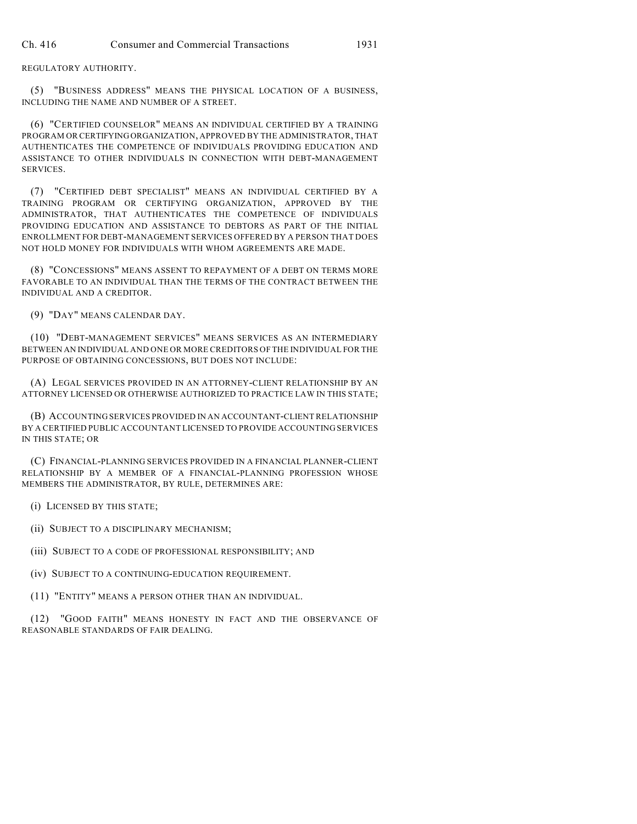REGULATORY AUTHORITY.

(5) "BUSINESS ADDRESS" MEANS THE PHYSICAL LOCATION OF A BUSINESS, INCLUDING THE NAME AND NUMBER OF A STREET.

(6) "CERTIFIED COUNSELOR" MEANS AN INDIVIDUAL CERTIFIED BY A TRAINING PROGRAM OR CERTIFYING ORGANIZATION, APPROVED BY THE ADMINISTRATOR, THAT AUTHENTICATES THE COMPETENCE OF INDIVIDUALS PROVIDING EDUCATION AND ASSISTANCE TO OTHER INDIVIDUALS IN CONNECTION WITH DEBT-MANAGEMENT SERVICES.

(7) "CERTIFIED DEBT SPECIALIST" MEANS AN INDIVIDUAL CERTIFIED BY A TRAINING PROGRAM OR CERTIFYING ORGANIZATION, APPROVED BY THE ADMINISTRATOR, THAT AUTHENTICATES THE COMPETENCE OF INDIVIDUALS PROVIDING EDUCATION AND ASSISTANCE TO DEBTORS AS PART OF THE INITIAL ENROLLMENT FOR DEBT-MANAGEMENT SERVICES OFFERED BY A PERSON THAT DOES NOT HOLD MONEY FOR INDIVIDUALS WITH WHOM AGREEMENTS ARE MADE.

(8) "CONCESSIONS" MEANS ASSENT TO REPAYMENT OF A DEBT ON TERMS MORE FAVORABLE TO AN INDIVIDUAL THAN THE TERMS OF THE CONTRACT BETWEEN THE INDIVIDUAL AND A CREDITOR.

(9) "DAY" MEANS CALENDAR DAY.

(10) "DEBT-MANAGEMENT SERVICES" MEANS SERVICES AS AN INTERMEDIARY BETWEEN AN INDIVIDUAL AND ONE OR MORE CREDITORS OF THE INDIVIDUAL FOR THE PURPOSE OF OBTAINING CONCESSIONS, BUT DOES NOT INCLUDE:

(A) LEGAL SERVICES PROVIDED IN AN ATTORNEY-CLIENT RELATIONSHIP BY AN ATTORNEY LICENSED OR OTHERWISE AUTHORIZED TO PRACTICE LAW IN THIS STATE;

(B) ACCOUNTING SERVICES PROVIDED IN AN ACCOUNTANT-CLIENT RELATIONSHIP BY A CERTIFIED PUBLIC ACCOUNTANT LICENSED TO PROVIDE ACCOUNTING SERVICES IN THIS STATE; OR

(C) FINANCIAL-PLANNING SERVICES PROVIDED IN A FINANCIAL PLANNER-CLIENT RELATIONSHIP BY A MEMBER OF A FINANCIAL-PLANNING PROFESSION WHOSE MEMBERS THE ADMINISTRATOR, BY RULE, DETERMINES ARE:

(i) LICENSED BY THIS STATE;

(ii) SUBJECT TO A DISCIPLINARY MECHANISM;

(iii) SUBJECT TO A CODE OF PROFESSIONAL RESPONSIBILITY; AND

(iv) SUBJECT TO A CONTINUING-EDUCATION REQUIREMENT.

(11) "ENTITY" MEANS A PERSON OTHER THAN AN INDIVIDUAL.

(12) "GOOD FAITH" MEANS HONESTY IN FACT AND THE OBSERVANCE OF REASONABLE STANDARDS OF FAIR DEALING.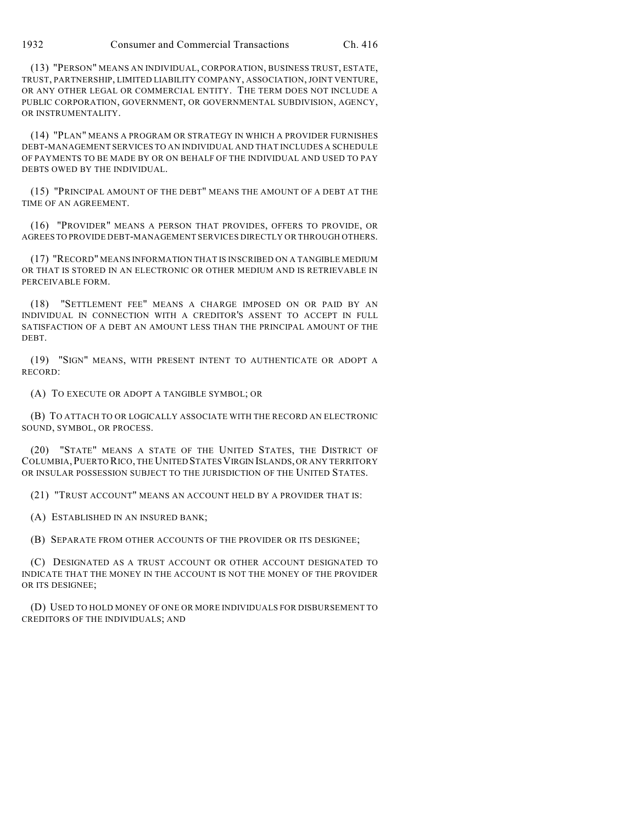(13) "PERSON" MEANS AN INDIVIDUAL, CORPORATION, BUSINESS TRUST, ESTATE, TRUST, PARTNERSHIP, LIMITED LIABILITY COMPANY, ASSOCIATION, JOINT VENTURE, OR ANY OTHER LEGAL OR COMMERCIAL ENTITY. THE TERM DOES NOT INCLUDE A PUBLIC CORPORATION, GOVERNMENT, OR GOVERNMENTAL SUBDIVISION, AGENCY, OR INSTRUMENTALITY.

(14) "PLAN" MEANS A PROGRAM OR STRATEGY IN WHICH A PROVIDER FURNISHES DEBT-MANAGEMENT SERVICES TO AN INDIVIDUAL AND THAT INCLUDES A SCHEDULE OF PAYMENTS TO BE MADE BY OR ON BEHALF OF THE INDIVIDUAL AND USED TO PAY DEBTS OWED BY THE INDIVIDUAL.

(15) "PRINCIPAL AMOUNT OF THE DEBT" MEANS THE AMOUNT OF A DEBT AT THE TIME OF AN AGREEMENT.

(16) "PROVIDER" MEANS A PERSON THAT PROVIDES, OFFERS TO PROVIDE, OR AGREES TO PROVIDE DEBT-MANAGEMENT SERVICES DIRECTLY OR THROUGH OTHERS.

(17) "RECORD" MEANS INFORMATION THAT IS INSCRIBED ON A TANGIBLE MEDIUM OR THAT IS STORED IN AN ELECTRONIC OR OTHER MEDIUM AND IS RETRIEVABLE IN PERCEIVABLE FORM.

(18) "SETTLEMENT FEE" MEANS A CHARGE IMPOSED ON OR PAID BY AN INDIVIDUAL IN CONNECTION WITH A CREDITOR'S ASSENT TO ACCEPT IN FULL SATISFACTION OF A DEBT AN AMOUNT LESS THAN THE PRINCIPAL AMOUNT OF THE DEBT.

(19) "SIGN" MEANS, WITH PRESENT INTENT TO AUTHENTICATE OR ADOPT A RECORD:

(A) TO EXECUTE OR ADOPT A TANGIBLE SYMBOL; OR

(B) TO ATTACH TO OR LOGICALLY ASSOCIATE WITH THE RECORD AN ELECTRONIC SOUND, SYMBOL, OR PROCESS.

(20) "STATE" MEANS A STATE OF THE UNITED STATES, THE DISTRICT OF COLUMBIA,PUERTO RICO, THE UNITED STATESVIRGIN ISLANDS, OR ANY TERRITORY OR INSULAR POSSESSION SUBJECT TO THE JURISDICTION OF THE UNITED STATES.

(21) "TRUST ACCOUNT" MEANS AN ACCOUNT HELD BY A PROVIDER THAT IS:

(A) ESTABLISHED IN AN INSURED BANK;

(B) SEPARATE FROM OTHER ACCOUNTS OF THE PROVIDER OR ITS DESIGNEE;

(C) DESIGNATED AS A TRUST ACCOUNT OR OTHER ACCOUNT DESIGNATED TO INDICATE THAT THE MONEY IN THE ACCOUNT IS NOT THE MONEY OF THE PROVIDER OR ITS DESIGNEE;

(D) USED TO HOLD MONEY OF ONE OR MORE INDIVIDUALS FOR DISBURSEMENT TO CREDITORS OF THE INDIVIDUALS; AND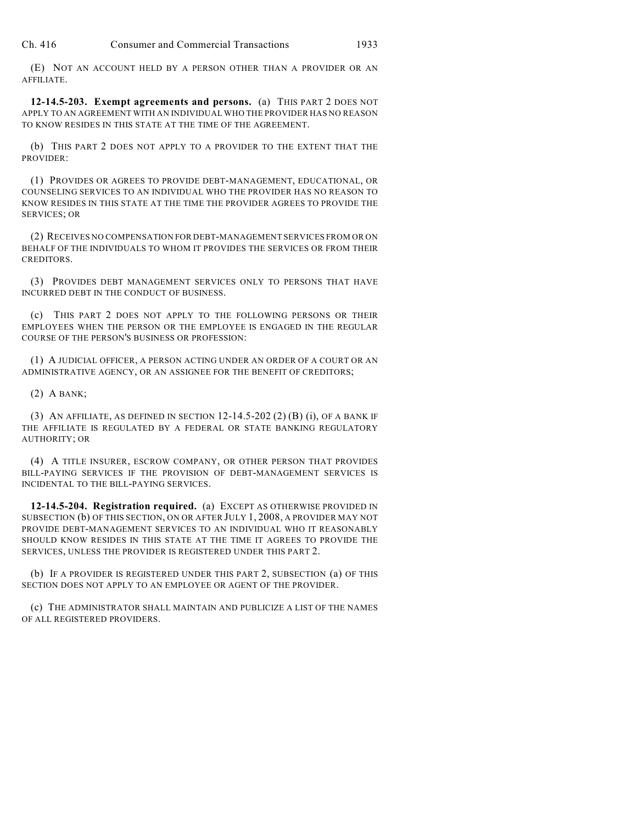(E) NOT AN ACCOUNT HELD BY A PERSON OTHER THAN A PROVIDER OR AN AFFILIATE.

**12-14.5-203. Exempt agreements and persons.** (a) THIS PART 2 DOES NOT APPLY TO AN AGREEMENT WITH AN INDIVIDUAL WHO THE PROVIDER HAS NO REASON TO KNOW RESIDES IN THIS STATE AT THE TIME OF THE AGREEMENT.

(b) THIS PART 2 DOES NOT APPLY TO A PROVIDER TO THE EXTENT THAT THE PROVIDER:

(1) PROVIDES OR AGREES TO PROVIDE DEBT-MANAGEMENT, EDUCATIONAL, OR COUNSELING SERVICES TO AN INDIVIDUAL WHO THE PROVIDER HAS NO REASON TO KNOW RESIDES IN THIS STATE AT THE TIME THE PROVIDER AGREES TO PROVIDE THE SERVICES; OR

(2) RECEIVES NO COMPENSATION FOR DEBT-MANAGEMENT SERVICES FROM OR ON BEHALF OF THE INDIVIDUALS TO WHOM IT PROVIDES THE SERVICES OR FROM THEIR CREDITORS.

(3) PROVIDES DEBT MANAGEMENT SERVICES ONLY TO PERSONS THAT HAVE INCURRED DEBT IN THE CONDUCT OF BUSINESS.

(c) THIS PART 2 DOES NOT APPLY TO THE FOLLOWING PERSONS OR THEIR EMPLOYEES WHEN THE PERSON OR THE EMPLOYEE IS ENGAGED IN THE REGULAR COURSE OF THE PERSON'S BUSINESS OR PROFESSION:

(1) A JUDICIAL OFFICER, A PERSON ACTING UNDER AN ORDER OF A COURT OR AN ADMINISTRATIVE AGENCY, OR AN ASSIGNEE FOR THE BENEFIT OF CREDITORS;

(2) A BANK;

(3) AN AFFILIATE, AS DEFINED IN SECTION 12-14.5-202 (2) (B) (i), OF A BANK IF THE AFFILIATE IS REGULATED BY A FEDERAL OR STATE BANKING REGULATORY AUTHORITY; OR

(4) A TITLE INSURER, ESCROW COMPANY, OR OTHER PERSON THAT PROVIDES BILL-PAYING SERVICES IF THE PROVISION OF DEBT-MANAGEMENT SERVICES IS INCIDENTAL TO THE BILL-PAYING SERVICES.

**12-14.5-204. Registration required.** (a) EXCEPT AS OTHERWISE PROVIDED IN SUBSECTION (b) OF THIS SECTION, ON OR AFTER JULY 1, 2008, A PROVIDER MAY NOT PROVIDE DEBT-MANAGEMENT SERVICES TO AN INDIVIDUAL WHO IT REASONABLY SHOULD KNOW RESIDES IN THIS STATE AT THE TIME IT AGREES TO PROVIDE THE SERVICES, UNLESS THE PROVIDER IS REGISTERED UNDER THIS PART 2.

(b) IF A PROVIDER IS REGISTERED UNDER THIS PART 2, SUBSECTION (a) OF THIS SECTION DOES NOT APPLY TO AN EMPLOYEE OR AGENT OF THE PROVIDER.

(c) THE ADMINISTRATOR SHALL MAINTAIN AND PUBLICIZE A LIST OF THE NAMES OF ALL REGISTERED PROVIDERS.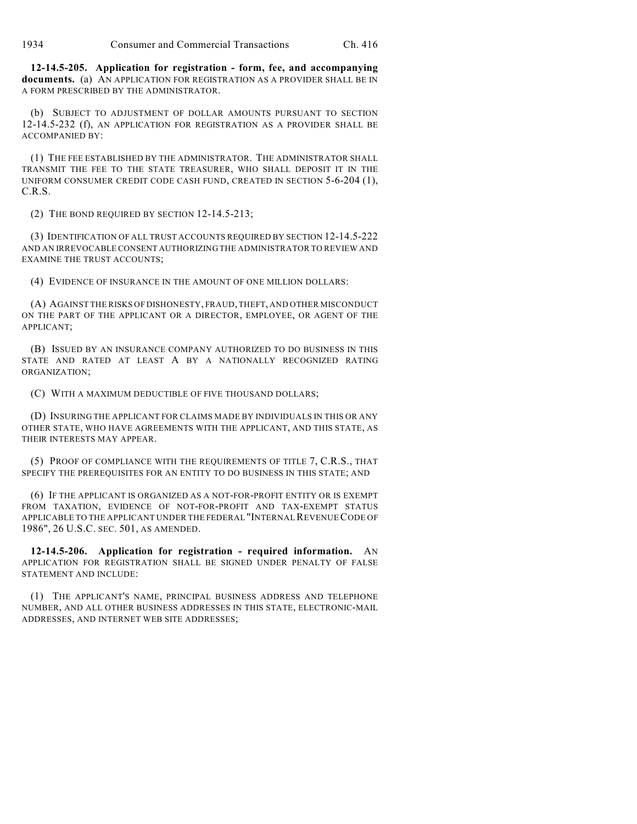**12-14.5-205. Application for registration - form, fee, and accompanying documents.** (a) AN APPLICATION FOR REGISTRATION AS A PROVIDER SHALL BE IN A FORM PRESCRIBED BY THE ADMINISTRATOR.

(b) SUBJECT TO ADJUSTMENT OF DOLLAR AMOUNTS PURSUANT TO SECTION 12-14.5-232 (f), AN APPLICATION FOR REGISTRATION AS A PROVIDER SHALL BE ACCOMPANIED BY:

(1) THE FEE ESTABLISHED BY THE ADMINISTRATOR. THE ADMINISTRATOR SHALL TRANSMIT THE FEE TO THE STATE TREASURER, WHO SHALL DEPOSIT IT IN THE UNIFORM CONSUMER CREDIT CODE CASH FUND, CREATED IN SECTION 5-6-204 (1), C.R.S.

(2) THE BOND REQUIRED BY SECTION 12-14.5-213;

(3) IDENTIFICATION OF ALL TRUST ACCOUNTS REQUIRED BY SECTION 12-14.5-222 AND AN IRREVOCABLE CONSENT AUTHORIZING THE ADMINISTRATOR TO REVIEW AND EXAMINE THE TRUST ACCOUNTS;

(4) EVIDENCE OF INSURANCE IN THE AMOUNT OF ONE MILLION DOLLARS:

(A) AGAINST THE RISKS OF DISHONESTY, FRAUD, THEFT, AND OTHER MISCONDUCT ON THE PART OF THE APPLICANT OR A DIRECTOR, EMPLOYEE, OR AGENT OF THE APPLICANT;

(B) ISSUED BY AN INSURANCE COMPANY AUTHORIZED TO DO BUSINESS IN THIS STATE AND RATED AT LEAST A BY A NATIONALLY RECOGNIZED RATING ORGANIZATION;

(C) WITH A MAXIMUM DEDUCTIBLE OF FIVE THOUSAND DOLLARS;

(D) INSURING THE APPLICANT FOR CLAIMS MADE BY INDIVIDUALS IN THIS OR ANY OTHER STATE, WHO HAVE AGREEMENTS WITH THE APPLICANT, AND THIS STATE, AS THEIR INTERESTS MAY APPEAR.

(5) PROOF OF COMPLIANCE WITH THE REQUIREMENTS OF TITLE 7, C.R.S., THAT SPECIFY THE PREREQUISITES FOR AN ENTITY TO DO BUSINESS IN THIS STATE; AND

(6) IF THE APPLICANT IS ORGANIZED AS A NOT-FOR-PROFIT ENTITY OR IS EXEMPT FROM TAXATION, EVIDENCE OF NOT-FOR-PROFIT AND TAX-EXEMPT STATUS APPLICABLE TO THE APPLICANT UNDER THE FEDERAL "INTERNAL REVENUE CODE OF 1986", 26 U.S.C. SEC. 501, AS AMENDED.

**12-14.5-206. Application for registration - required information.** AN APPLICATION FOR REGISTRATION SHALL BE SIGNED UNDER PENALTY OF FALSE STATEMENT AND INCLUDE:

(1) THE APPLICANT'S NAME, PRINCIPAL BUSINESS ADDRESS AND TELEPHONE NUMBER, AND ALL OTHER BUSINESS ADDRESSES IN THIS STATE, ELECTRONIC-MAIL ADDRESSES, AND INTERNET WEB SITE ADDRESSES;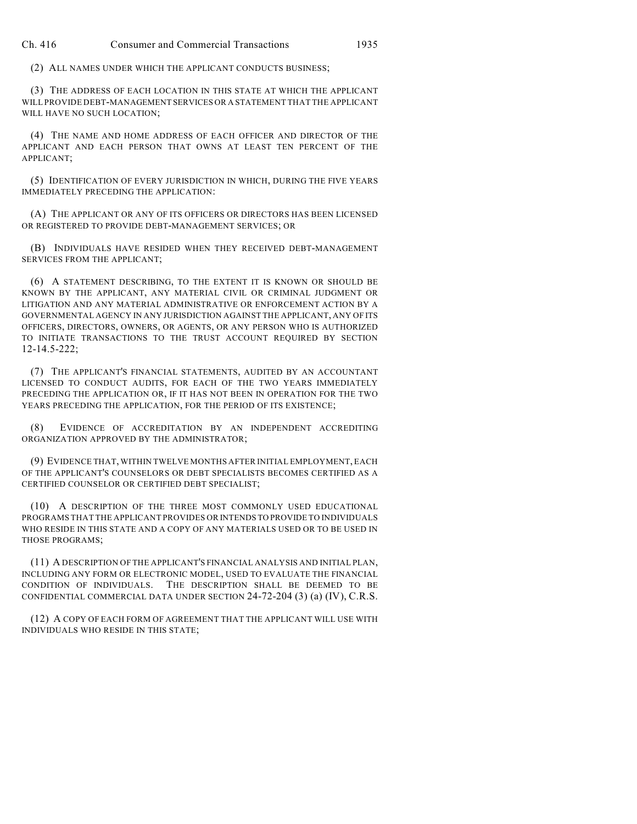(2) ALL NAMES UNDER WHICH THE APPLICANT CONDUCTS BUSINESS;

(3) THE ADDRESS OF EACH LOCATION IN THIS STATE AT WHICH THE APPLICANT WILL PROVIDE DEBT-MANAGEMENT SERVICES OR A STATEMENT THAT THE APPLICANT WILL HAVE NO SUCH LOCATION;

(4) THE NAME AND HOME ADDRESS OF EACH OFFICER AND DIRECTOR OF THE APPLICANT AND EACH PERSON THAT OWNS AT LEAST TEN PERCENT OF THE APPLICANT;

(5) IDENTIFICATION OF EVERY JURISDICTION IN WHICH, DURING THE FIVE YEARS IMMEDIATELY PRECEDING THE APPLICATION:

(A) THE APPLICANT OR ANY OF ITS OFFICERS OR DIRECTORS HAS BEEN LICENSED OR REGISTERED TO PROVIDE DEBT-MANAGEMENT SERVICES; OR

(B) INDIVIDUALS HAVE RESIDED WHEN THEY RECEIVED DEBT-MANAGEMENT SERVICES FROM THE APPLICANT;

(6) A STATEMENT DESCRIBING, TO THE EXTENT IT IS KNOWN OR SHOULD BE KNOWN BY THE APPLICANT, ANY MATERIAL CIVIL OR CRIMINAL JUDGMENT OR LITIGATION AND ANY MATERIAL ADMINISTRATIVE OR ENFORCEMENT ACTION BY A GOVERNMENTAL AGENCY IN ANY JURISDICTION AGAINST THE APPLICANT, ANY OF ITS OFFICERS, DIRECTORS, OWNERS, OR AGENTS, OR ANY PERSON WHO IS AUTHORIZED TO INITIATE TRANSACTIONS TO THE TRUST ACCOUNT REQUIRED BY SECTION 12-14.5-222;

(7) THE APPLICANT'S FINANCIAL STATEMENTS, AUDITED BY AN ACCOUNTANT LICENSED TO CONDUCT AUDITS, FOR EACH OF THE TWO YEARS IMMEDIATELY PRECEDING THE APPLICATION OR, IF IT HAS NOT BEEN IN OPERATION FOR THE TWO YEARS PRECEDING THE APPLICATION, FOR THE PERIOD OF ITS EXISTENCE;

(8) EVIDENCE OF ACCREDITATION BY AN INDEPENDENT ACCREDITING ORGANIZATION APPROVED BY THE ADMINISTRATOR;

(9) EVIDENCE THAT, WITHIN TWELVE MONTHS AFTER INITIAL EMPLOYMENT, EACH OF THE APPLICANT'S COUNSELORS OR DEBT SPECIALISTS BECOMES CERTIFIED AS A CERTIFIED COUNSELOR OR CERTIFIED DEBT SPECIALIST;

(10) A DESCRIPTION OF THE THREE MOST COMMONLY USED EDUCATIONAL PROGRAMS THAT THE APPLICANT PROVIDES OR INTENDS TO PROVIDE TO INDIVIDUALS WHO RESIDE IN THIS STATE AND A COPY OF ANY MATERIALS USED OR TO BE USED IN THOSE PROGRAMS;

(11) A DESCRIPTION OF THE APPLICANT'S FINANCIAL ANALYSIS AND INITIAL PLAN, INCLUDING ANY FORM OR ELECTRONIC MODEL, USED TO EVALUATE THE FINANCIAL CONDITION OF INDIVIDUALS. THE DESCRIPTION SHALL BE DEEMED TO BE CONFIDENTIAL COMMERCIAL DATA UNDER SECTION 24-72-204 (3) (a) (IV), C.R.S.

(12) A COPY OF EACH FORM OF AGREEMENT THAT THE APPLICANT WILL USE WITH INDIVIDUALS WHO RESIDE IN THIS STATE;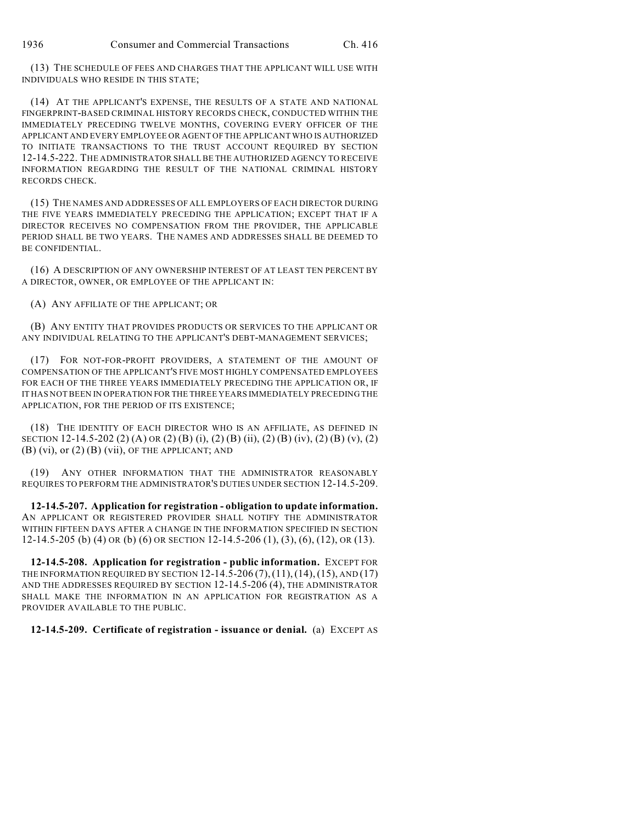(13) THE SCHEDULE OF FEES AND CHARGES THAT THE APPLICANT WILL USE WITH INDIVIDUALS WHO RESIDE IN THIS STATE;

(14) AT THE APPLICANT'S EXPENSE, THE RESULTS OF A STATE AND NATIONAL FINGERPRINT-BASED CRIMINAL HISTORY RECORDS CHECK, CONDUCTED WITHIN THE IMMEDIATELY PRECEDING TWELVE MONTHS, COVERING EVERY OFFICER OF THE APPLICANT AND EVERY EMPLOYEE OR AGENT OF THE APPLICANT WHO IS AUTHORIZED TO INITIATE TRANSACTIONS TO THE TRUST ACCOUNT REQUIRED BY SECTION 12-14.5-222. THE ADMINISTRATOR SHALL BE THE AUTHORIZED AGENCY TO RECEIVE INFORMATION REGARDING THE RESULT OF THE NATIONAL CRIMINAL HISTORY RECORDS CHECK.

(15) THE NAMES AND ADDRESSES OF ALL EMPLOYERS OF EACH DIRECTOR DURING THE FIVE YEARS IMMEDIATELY PRECEDING THE APPLICATION; EXCEPT THAT IF A DIRECTOR RECEIVES NO COMPENSATION FROM THE PROVIDER, THE APPLICABLE PERIOD SHALL BE TWO YEARS. THE NAMES AND ADDRESSES SHALL BE DEEMED TO BE CONFIDENTIAL.

(16) A DESCRIPTION OF ANY OWNERSHIP INTEREST OF AT LEAST TEN PERCENT BY A DIRECTOR, OWNER, OR EMPLOYEE OF THE APPLICANT IN:

(A) ANY AFFILIATE OF THE APPLICANT; OR

(B) ANY ENTITY THAT PROVIDES PRODUCTS OR SERVICES TO THE APPLICANT OR ANY INDIVIDUAL RELATING TO THE APPLICANT'S DEBT-MANAGEMENT SERVICES;

(17) FOR NOT-FOR-PROFIT PROVIDERS, A STATEMENT OF THE AMOUNT OF COMPENSATION OF THE APPLICANT'S FIVE MOST HIGHLY COMPENSATED EMPLOYEES FOR EACH OF THE THREE YEARS IMMEDIATELY PRECEDING THE APPLICATION OR, IF IT HAS NOT BEEN IN OPERATION FOR THE THREE YEARS IMMEDIATELY PRECEDING THE APPLICATION, FOR THE PERIOD OF ITS EXISTENCE;

(18) THE IDENTITY OF EACH DIRECTOR WHO IS AN AFFILIATE, AS DEFINED IN SECTION 12-14.5-202 (2) (A) OR (2) (B) (i), (2) (B) (ii), (2) (B) (iv), (2) (B) (v), (2)  $(B)$  (vi), or  $(2)$   $(B)$  (vii), OF THE APPLICANT; AND

(19) ANY OTHER INFORMATION THAT THE ADMINISTRATOR REASONABLY REQUIRES TO PERFORM THE ADMINISTRATOR'S DUTIES UNDER SECTION 12-14.5-209.

**12-14.5-207. Application for registration - obligation to update information.** AN APPLICANT OR REGISTERED PROVIDER SHALL NOTIFY THE ADMINISTRATOR WITHIN FIFTEEN DAYS AFTER A CHANGE IN THE INFORMATION SPECIFIED IN SECTION 12-14.5-205 (b) (4) OR (b) (6) OR SECTION 12-14.5-206 (1), (3), (6), (12), OR (13).

**12-14.5-208. Application for registration - public information.** EXCEPT FOR THE INFORMATION REQUIRED BY SECTION 12-14.5-206 (7),(11),(14),(15), AND (17) AND THE ADDRESSES REQUIRED BY SECTION 12-14.5-206 (4), THE ADMINISTRATOR SHALL MAKE THE INFORMATION IN AN APPLICATION FOR REGISTRATION AS A PROVIDER AVAILABLE TO THE PUBLIC.

**12-14.5-209. Certificate of registration - issuance or denial.** (a) EXCEPT AS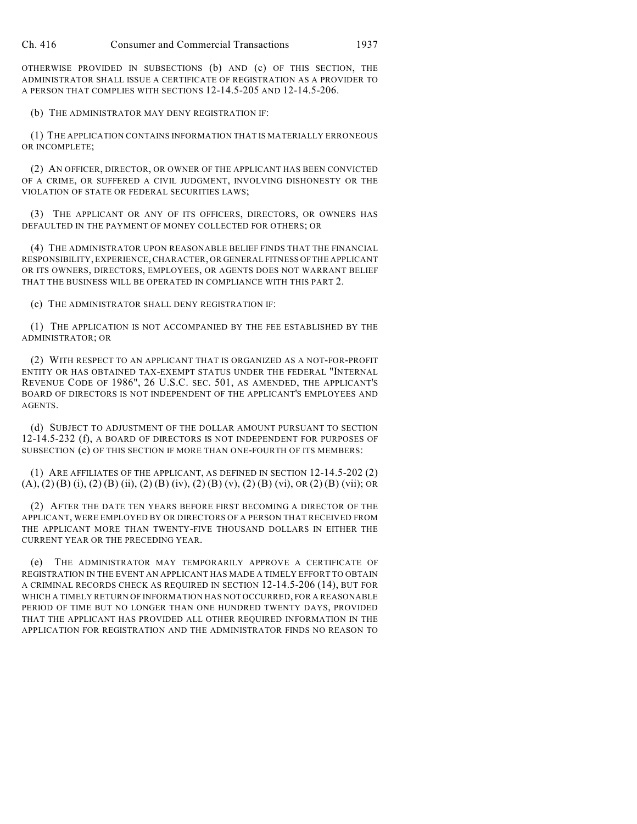OTHERWISE PROVIDED IN SUBSECTIONS (b) AND (c) OF THIS SECTION, THE ADMINISTRATOR SHALL ISSUE A CERTIFICATE OF REGISTRATION AS A PROVIDER TO A PERSON THAT COMPLIES WITH SECTIONS 12-14.5-205 AND 12-14.5-206.

(b) THE ADMINISTRATOR MAY DENY REGISTRATION IF:

(1) THE APPLICATION CONTAINS INFORMATION THAT IS MATERIALLY ERRONEOUS OR INCOMPLETE;

(2) AN OFFICER, DIRECTOR, OR OWNER OF THE APPLICANT HAS BEEN CONVICTED OF A CRIME, OR SUFFERED A CIVIL JUDGMENT, INVOLVING DISHONESTY OR THE VIOLATION OF STATE OR FEDERAL SECURITIES LAWS;

(3) THE APPLICANT OR ANY OF ITS OFFICERS, DIRECTORS, OR OWNERS HAS DEFAULTED IN THE PAYMENT OF MONEY COLLECTED FOR OTHERS; OR

(4) THE ADMINISTRATOR UPON REASONABLE BELIEF FINDS THAT THE FINANCIAL RESPONSIBILITY, EXPERIENCE, CHARACTER, OR GENERAL FITNESS OF THE APPLICANT OR ITS OWNERS, DIRECTORS, EMPLOYEES, OR AGENTS DOES NOT WARRANT BELIEF THAT THE BUSINESS WILL BE OPERATED IN COMPLIANCE WITH THIS PART 2.

(c) THE ADMINISTRATOR SHALL DENY REGISTRATION IF:

(1) THE APPLICATION IS NOT ACCOMPANIED BY THE FEE ESTABLISHED BY THE ADMINISTRATOR; OR

(2) WITH RESPECT TO AN APPLICANT THAT IS ORGANIZED AS A NOT-FOR-PROFIT ENTITY OR HAS OBTAINED TAX-EXEMPT STATUS UNDER THE FEDERAL "INTERNAL REVENUE CODE OF 1986", 26 U.S.C. SEC. 501, AS AMENDED, THE APPLICANT'S BOARD OF DIRECTORS IS NOT INDEPENDENT OF THE APPLICANT'S EMPLOYEES AND AGENTS.

(d) SUBJECT TO ADJUSTMENT OF THE DOLLAR AMOUNT PURSUANT TO SECTION 12-14.5-232 (f), A BOARD OF DIRECTORS IS NOT INDEPENDENT FOR PURPOSES OF SUBSECTION (c) OF THIS SECTION IF MORE THAN ONE-FOURTH OF ITS MEMBERS:

(1) ARE AFFILIATES OF THE APPLICANT, AS DEFINED IN SECTION 12-14.5-202 (2)  $(A)$ ,  $(2)$   $(B)$   $(i)$ ,  $(2)$   $(B)$   $(ii)$ ,  $(2)$   $(B)$   $(iv)$ ,  $(2)$   $(B)$   $(v)$ ,  $(2)$   $(B)$   $(vi)$ ,  $OR$   $(2)$   $(B)$   $(vii)$ ;  $OR$ 

(2) AFTER THE DATE TEN YEARS BEFORE FIRST BECOMING A DIRECTOR OF THE APPLICANT, WERE EMPLOYED BY OR DIRECTORS OF A PERSON THAT RECEIVED FROM THE APPLICANT MORE THAN TWENTY-FIVE THOUSAND DOLLARS IN EITHER THE CURRENT YEAR OR THE PRECEDING YEAR.

(e) THE ADMINISTRATOR MAY TEMPORARILY APPROVE A CERTIFICATE OF REGISTRATION IN THE EVENT AN APPLICANT HAS MADE A TIMELY EFFORT TO OBTAIN A CRIMINAL RECORDS CHECK AS REQUIRED IN SECTION 12-14.5-206 (14), BUT FOR WHICH A TIMELY RETURN OF INFORMATION HAS NOT OCCURRED, FOR A REASONABLE PERIOD OF TIME BUT NO LONGER THAN ONE HUNDRED TWENTY DAYS, PROVIDED THAT THE APPLICANT HAS PROVIDED ALL OTHER REQUIRED INFORMATION IN THE APPLICATION FOR REGISTRATION AND THE ADMINISTRATOR FINDS NO REASON TO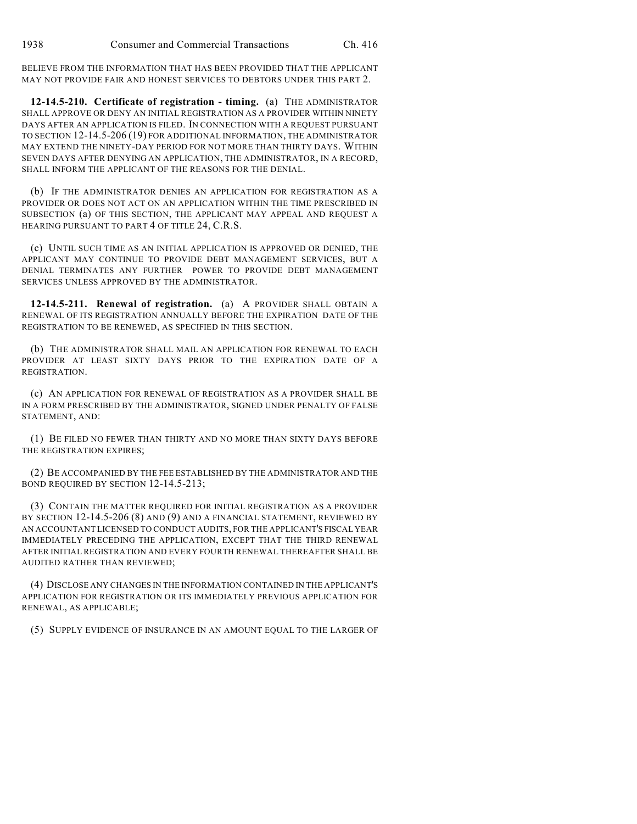BELIEVE FROM THE INFORMATION THAT HAS BEEN PROVIDED THAT THE APPLICANT MAY NOT PROVIDE FAIR AND HONEST SERVICES TO DEBTORS UNDER THIS PART 2.

**12-14.5-210. Certificate of registration - timing.** (a) THE ADMINISTRATOR SHALL APPROVE OR DENY AN INITIAL REGISTRATION AS A PROVIDER WITHIN NINETY DAYS AFTER AN APPLICATION IS FILED. IN CONNECTION WITH A REQUEST PURSUANT TO SECTION 12-14.5-206 (19) FOR ADDITIONAL INFORMATION, THE ADMINISTRATOR MAY EXTEND THE NINETY-DAY PERIOD FOR NOT MORE THAN THIRTY DAYS. WITHIN SEVEN DAYS AFTER DENYING AN APPLICATION, THE ADMINISTRATOR, IN A RECORD, SHALL INFORM THE APPLICANT OF THE REASONS FOR THE DENIAL.

(b) IF THE ADMINISTRATOR DENIES AN APPLICATION FOR REGISTRATION AS A PROVIDER OR DOES NOT ACT ON AN APPLICATION WITHIN THE TIME PRESCRIBED IN SUBSECTION (a) OF THIS SECTION, THE APPLICANT MAY APPEAL AND REQUEST A HEARING PURSUANT TO PART 4 OF TITLE 24, C.R.S.

(c) UNTIL SUCH TIME AS AN INITIAL APPLICATION IS APPROVED OR DENIED, THE APPLICANT MAY CONTINUE TO PROVIDE DEBT MANAGEMENT SERVICES, BUT A DENIAL TERMINATES ANY FURTHER POWER TO PROVIDE DEBT MANAGEMENT SERVICES UNLESS APPROVED BY THE ADMINISTRATOR.

**12-14.5-211. Renewal of registration.** (a) A PROVIDER SHALL OBTAIN A RENEWAL OF ITS REGISTRATION ANNUALLY BEFORE THE EXPIRATION DATE OF THE REGISTRATION TO BE RENEWED, AS SPECIFIED IN THIS SECTION.

(b) THE ADMINISTRATOR SHALL MAIL AN APPLICATION FOR RENEWAL TO EACH PROVIDER AT LEAST SIXTY DAYS PRIOR TO THE EXPIRATION DATE OF A REGISTRATION.

(c) AN APPLICATION FOR RENEWAL OF REGISTRATION AS A PROVIDER SHALL BE IN A FORM PRESCRIBED BY THE ADMINISTRATOR, SIGNED UNDER PENALTY OF FALSE STATEMENT, AND:

(1) BE FILED NO FEWER THAN THIRTY AND NO MORE THAN SIXTY DAYS BEFORE THE REGISTRATION EXPIRES;

(2) BE ACCOMPANIED BY THE FEE ESTABLISHED BY THE ADMINISTRATOR AND THE BOND REQUIRED BY SECTION 12-14.5-213;

(3) CONTAIN THE MATTER REQUIRED FOR INITIAL REGISTRATION AS A PROVIDER BY SECTION 12-14.5-206 (8) AND (9) AND A FINANCIAL STATEMENT, REVIEWED BY AN ACCOUNTANT LICENSED TO CONDUCT AUDITS, FOR THE APPLICANT'S FISCAL YEAR IMMEDIATELY PRECEDING THE APPLICATION, EXCEPT THAT THE THIRD RENEWAL AFTER INITIAL REGISTRATION AND EVERY FOURTH RENEWAL THEREAFTER SHALL BE AUDITED RATHER THAN REVIEWED;

(4) DISCLOSE ANY CHANGES IN THE INFORMATION CONTAINED IN THE APPLICANT'S APPLICATION FOR REGISTRATION OR ITS IMMEDIATELY PREVIOUS APPLICATION FOR RENEWAL, AS APPLICABLE;

(5) SUPPLY EVIDENCE OF INSURANCE IN AN AMOUNT EQUAL TO THE LARGER OF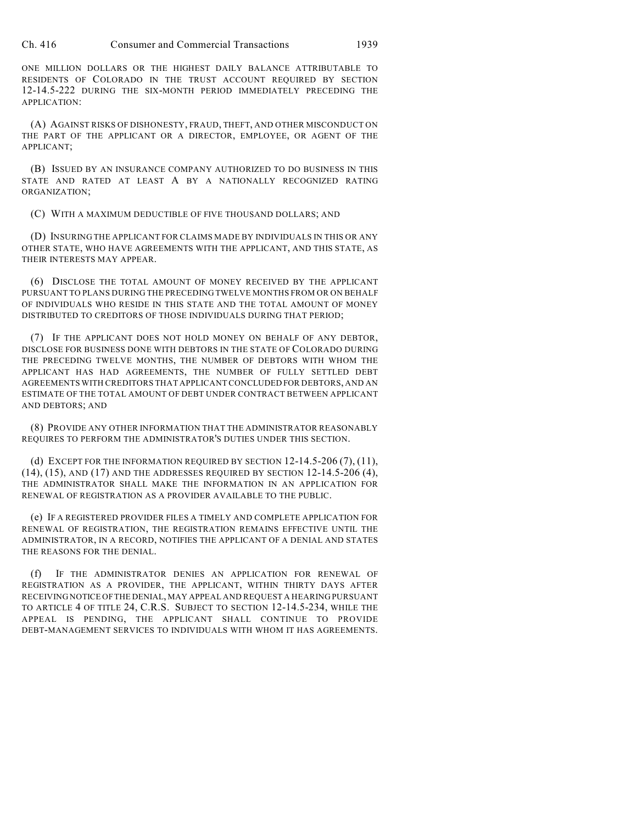ONE MILLION DOLLARS OR THE HIGHEST DAILY BALANCE ATTRIBUTABLE TO RESIDENTS OF COLORADO IN THE TRUST ACCOUNT REQUIRED BY SECTION 12-14.5-222 DURING THE SIX-MONTH PERIOD IMMEDIATELY PRECEDING THE APPLICATION:

(A) AGAINST RISKS OF DISHONESTY, FRAUD, THEFT, AND OTHER MISCONDUCT ON THE PART OF THE APPLICANT OR A DIRECTOR, EMPLOYEE, OR AGENT OF THE APPLICANT;

(B) ISSUED BY AN INSURANCE COMPANY AUTHORIZED TO DO BUSINESS IN THIS STATE AND RATED AT LEAST A BY A NATIONALLY RECOGNIZED RATING ORGANIZATION;

(C) WITH A MAXIMUM DEDUCTIBLE OF FIVE THOUSAND DOLLARS; AND

(D) INSURING THE APPLICANT FOR CLAIMS MADE BY INDIVIDUALS IN THIS OR ANY OTHER STATE, WHO HAVE AGREEMENTS WITH THE APPLICANT, AND THIS STATE, AS THEIR INTERESTS MAY APPEAR.

(6) DISCLOSE THE TOTAL AMOUNT OF MONEY RECEIVED BY THE APPLICANT PURSUANT TO PLANS DURING THE PRECEDING TWELVE MONTHS FROM OR ON BEHALF OF INDIVIDUALS WHO RESIDE IN THIS STATE AND THE TOTAL AMOUNT OF MONEY DISTRIBUTED TO CREDITORS OF THOSE INDIVIDUALS DURING THAT PERIOD;

(7) IF THE APPLICANT DOES NOT HOLD MONEY ON BEHALF OF ANY DEBTOR, DISCLOSE FOR BUSINESS DONE WITH DEBTORS IN THE STATE OF COLORADO DURING THE PRECEDING TWELVE MONTHS, THE NUMBER OF DEBTORS WITH WHOM THE APPLICANT HAS HAD AGREEMENTS, THE NUMBER OF FULLY SETTLED DEBT AGREEMENTS WITH CREDITORS THAT APPLICANT CONCLUDED FOR DEBTORS, AND AN ESTIMATE OF THE TOTAL AMOUNT OF DEBT UNDER CONTRACT BETWEEN APPLICANT AND DEBTORS; AND

(8) PROVIDE ANY OTHER INFORMATION THAT THE ADMINISTRATOR REASONABLY REQUIRES TO PERFORM THE ADMINISTRATOR'S DUTIES UNDER THIS SECTION.

(d) EXCEPT FOR THE INFORMATION REQUIRED BY SECTION 12-14.5-206 (7), (11), (14), (15), AND (17) AND THE ADDRESSES REQUIRED BY SECTION 12-14.5-206 (4), THE ADMINISTRATOR SHALL MAKE THE INFORMATION IN AN APPLICATION FOR RENEWAL OF REGISTRATION AS A PROVIDER AVAILABLE TO THE PUBLIC.

(e) IF A REGISTERED PROVIDER FILES A TIMELY AND COMPLETE APPLICATION FOR RENEWAL OF REGISTRATION, THE REGISTRATION REMAINS EFFECTIVE UNTIL THE ADMINISTRATOR, IN A RECORD, NOTIFIES THE APPLICANT OF A DENIAL AND STATES THE REASONS FOR THE DENIAL.

(f) IF THE ADMINISTRATOR DENIES AN APPLICATION FOR RENEWAL OF REGISTRATION AS A PROVIDER, THE APPLICANT, WITHIN THIRTY DAYS AFTER RECEIVING NOTICE OF THE DENIAL, MAY APPEAL AND REQUEST A HEARING PURSUANT TO ARTICLE 4 OF TITLE 24, C.R.S. SUBJECT TO SECTION 12-14.5-234, WHILE THE APPEAL IS PENDING, THE APPLICANT SHALL CONTINUE TO PROVIDE DEBT-MANAGEMENT SERVICES TO INDIVIDUALS WITH WHOM IT HAS AGREEMENTS.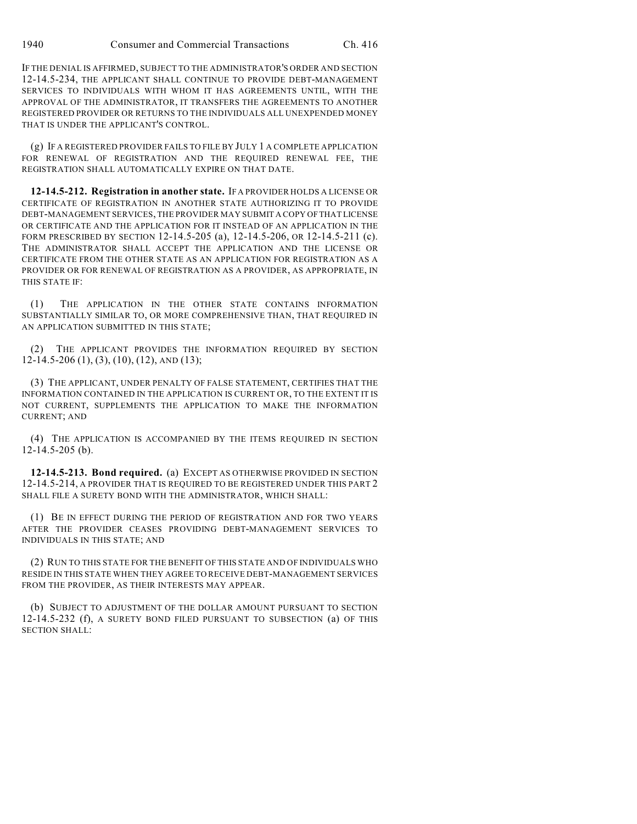IF THE DENIAL IS AFFIRMED, SUBJECT TO THE ADMINISTRATOR'S ORDER AND SECTION 12-14.5-234, THE APPLICANT SHALL CONTINUE TO PROVIDE DEBT-MANAGEMENT SERVICES TO INDIVIDUALS WITH WHOM IT HAS AGREEMENTS UNTIL, WITH THE APPROVAL OF THE ADMINISTRATOR, IT TRANSFERS THE AGREEMENTS TO ANOTHER REGISTERED PROVIDER OR RETURNS TO THE INDIVIDUALS ALL UNEXPENDED MONEY THAT IS UNDER THE APPLICANT'S CONTROL.

(g) IF A REGISTERED PROVIDER FAILS TO FILE BY JULY 1 A COMPLETE APPLICATION FOR RENEWAL OF REGISTRATION AND THE REQUIRED RENEWAL FEE, THE REGISTRATION SHALL AUTOMATICALLY EXPIRE ON THAT DATE.

**12-14.5-212. Registration in another state.** IF A PROVIDER HOLDS A LICENSE OR CERTIFICATE OF REGISTRATION IN ANOTHER STATE AUTHORIZING IT TO PROVIDE DEBT-MANAGEMENT SERVICES, THE PROVIDER MAY SUBMIT A COPY OF THAT LICENSE OR CERTIFICATE AND THE APPLICATION FOR IT INSTEAD OF AN APPLICATION IN THE FORM PRESCRIBED BY SECTION 12-14.5-205 (a), 12-14.5-206, OR 12-14.5-211 (c). THE ADMINISTRATOR SHALL ACCEPT THE APPLICATION AND THE LICENSE OR CERTIFICATE FROM THE OTHER STATE AS AN APPLICATION FOR REGISTRATION AS A PROVIDER OR FOR RENEWAL OF REGISTRATION AS A PROVIDER, AS APPROPRIATE, IN THIS STATE IF:

(1) THE APPLICATION IN THE OTHER STATE CONTAINS INFORMATION SUBSTANTIALLY SIMILAR TO, OR MORE COMPREHENSIVE THAN, THAT REQUIRED IN AN APPLICATION SUBMITTED IN THIS STATE;

(2) THE APPLICANT PROVIDES THE INFORMATION REQUIRED BY SECTION 12-14.5-206 (1), (3), (10), (12), AND (13);

(3) THE APPLICANT, UNDER PENALTY OF FALSE STATEMENT, CERTIFIES THAT THE INFORMATION CONTAINED IN THE APPLICATION IS CURRENT OR, TO THE EXTENT IT IS NOT CURRENT, SUPPLEMENTS THE APPLICATION TO MAKE THE INFORMATION CURRENT; AND

(4) THE APPLICATION IS ACCOMPANIED BY THE ITEMS REQUIRED IN SECTION 12-14.5-205 (b).

**12-14.5-213. Bond required.** (a) EXCEPT AS OTHERWISE PROVIDED IN SECTION 12-14.5-214, A PROVIDER THAT IS REQUIRED TO BE REGISTERED UNDER THIS PART 2 SHALL FILE A SURETY BOND WITH THE ADMINISTRATOR, WHICH SHALL:

(1) BE IN EFFECT DURING THE PERIOD OF REGISTRATION AND FOR TWO YEARS AFTER THE PROVIDER CEASES PROVIDING DEBT-MANAGEMENT SERVICES TO INDIVIDUALS IN THIS STATE; AND

(2) RUN TO THIS STATE FOR THE BENEFIT OF THIS STATE AND OF INDIVIDUALS WHO RESIDE IN THIS STATE WHEN THEY AGREE TO RECEIVE DEBT-MANAGEMENT SERVICES FROM THE PROVIDER, AS THEIR INTERESTS MAY APPEAR.

(b) SUBJECT TO ADJUSTMENT OF THE DOLLAR AMOUNT PURSUANT TO SECTION 12-14.5-232 (f), A SURETY BOND FILED PURSUANT TO SUBSECTION (a) OF THIS SECTION SHALL: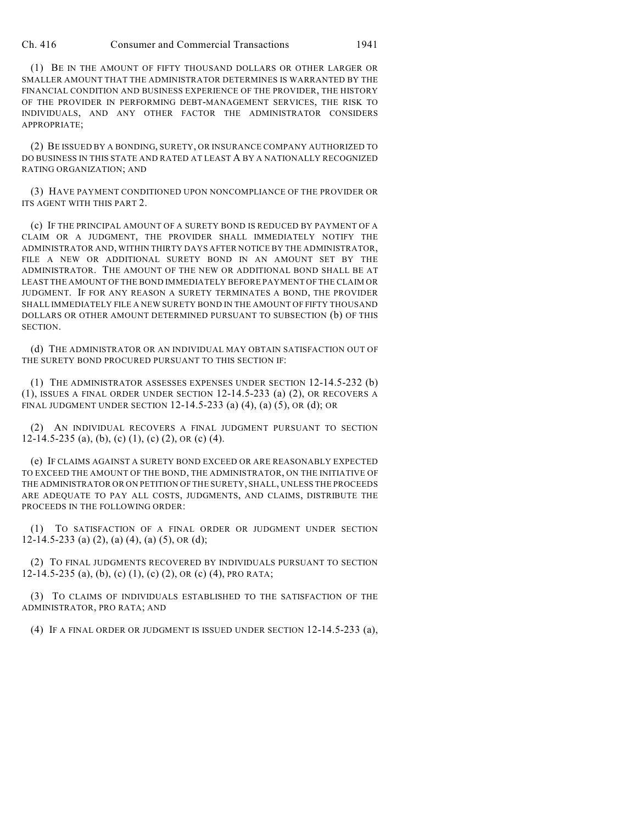Ch. 416 Consumer and Commercial Transactions 1941

(1) BE IN THE AMOUNT OF FIFTY THOUSAND DOLLARS OR OTHER LARGER OR SMALLER AMOUNT THAT THE ADMINISTRATOR DETERMINES IS WARRANTED BY THE FINANCIAL CONDITION AND BUSINESS EXPERIENCE OF THE PROVIDER, THE HISTORY OF THE PROVIDER IN PERFORMING DEBT-MANAGEMENT SERVICES, THE RISK TO INDIVIDUALS, AND ANY OTHER FACTOR THE ADMINISTRATOR CONSIDERS APPROPRIATE;

(2) BE ISSUED BY A BONDING, SURETY, OR INSURANCE COMPANY AUTHORIZED TO DO BUSINESS IN THIS STATE AND RATED AT LEAST A BY A NATIONALLY RECOGNIZED RATING ORGANIZATION; AND

(3) HAVE PAYMENT CONDITIONED UPON NONCOMPLIANCE OF THE PROVIDER OR ITS AGENT WITH THIS PART 2.

(c) IF THE PRINCIPAL AMOUNT OF A SURETY BOND IS REDUCED BY PAYMENT OF A CLAIM OR A JUDGMENT, THE PROVIDER SHALL IMMEDIATELY NOTIFY THE ADMINISTRATOR AND, WITHIN THIRTY DAYS AFTER NOTICE BY THE ADMINISTRATOR, FILE A NEW OR ADDITIONAL SURETY BOND IN AN AMOUNT SET BY THE ADMINISTRATOR. THE AMOUNT OF THE NEW OR ADDITIONAL BOND SHALL BE AT LEAST THE AMOUNT OF THE BOND IMMEDIATELY BEFORE PAYMENT OFTHE CLAIM OR JUDGMENT. IF FOR ANY REASON A SURETY TERMINATES A BOND, THE PROVIDER SHALL IMMEDIATELY FILE A NEW SURETY BOND IN THE AMOUNT OF FIFTY THOUSAND DOLLARS OR OTHER AMOUNT DETERMINED PURSUANT TO SUBSECTION (b) OF THIS SECTION.

(d) THE ADMINISTRATOR OR AN INDIVIDUAL MAY OBTAIN SATISFACTION OUT OF THE SURETY BOND PROCURED PURSUANT TO THIS SECTION IF:

(1) THE ADMINISTRATOR ASSESSES EXPENSES UNDER SECTION 12-14.5-232 (b) (1), ISSUES A FINAL ORDER UNDER SECTION 12-14.5-233 (a) (2), OR RECOVERS A FINAL JUDGMENT UNDER SECTION 12-14.5-233 (a) (4), (a) (5), OR (d); OR

(2) AN INDIVIDUAL RECOVERS A FINAL JUDGMENT PURSUANT TO SECTION 12-14.5-235 (a), (b), (c) (1), (c) (2), OR (c) (4).

(e) IF CLAIMS AGAINST A SURETY BOND EXCEED OR ARE REASONABLY EXPECTED TO EXCEED THE AMOUNT OF THE BOND, THE ADMINISTRATOR, ON THE INITIATIVE OF THE ADMINISTRATOR OR ON PETITION OF THE SURETY, SHALL, UNLESS THE PROCEEDS ARE ADEQUATE TO PAY ALL COSTS, JUDGMENTS, AND CLAIMS, DISTRIBUTE THE PROCEEDS IN THE FOLLOWING ORDER:

(1) TO SATISFACTION OF A FINAL ORDER OR JUDGMENT UNDER SECTION 12-14.5-233 (a) (2), (a) (4), (a) (5), OR (d);

(2) TO FINAL JUDGMENTS RECOVERED BY INDIVIDUALS PURSUANT TO SECTION 12-14.5-235 (a), (b), (c) (1), (c) (2), OR (c) (4), PRO RATA;

(3) TO CLAIMS OF INDIVIDUALS ESTABLISHED TO THE SATISFACTION OF THE ADMINISTRATOR, PRO RATA; AND

(4) IF A FINAL ORDER OR JUDGMENT IS ISSUED UNDER SECTION 12-14.5-233 (a),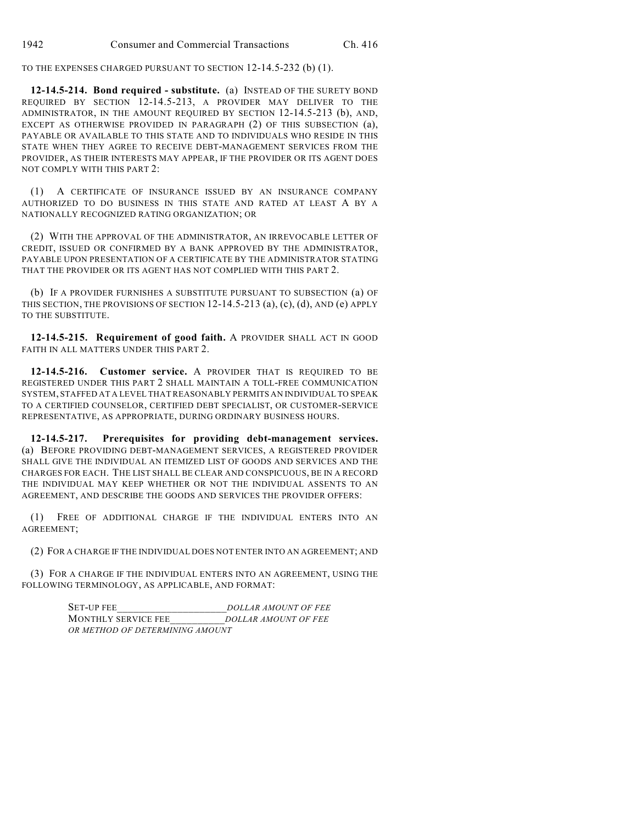TO THE EXPENSES CHARGED PURSUANT TO SECTION 12-14.5-232 (b) (1).

**12-14.5-214. Bond required - substitute.** (a) INSTEAD OF THE SURETY BOND REQUIRED BY SECTION 12-14.5-213, A PROVIDER MAY DELIVER TO THE ADMINISTRATOR, IN THE AMOUNT REQUIRED BY SECTION 12-14.5-213 (b), AND, EXCEPT AS OTHERWISE PROVIDED IN PARAGRAPH (2) OF THIS SUBSECTION (a), PAYABLE OR AVAILABLE TO THIS STATE AND TO INDIVIDUALS WHO RESIDE IN THIS STATE WHEN THEY AGREE TO RECEIVE DEBT-MANAGEMENT SERVICES FROM THE PROVIDER, AS THEIR INTERESTS MAY APPEAR, IF THE PROVIDER OR ITS AGENT DOES NOT COMPLY WITH THIS PART 2:

(1) A CERTIFICATE OF INSURANCE ISSUED BY AN INSURANCE COMPANY AUTHORIZED TO DO BUSINESS IN THIS STATE AND RATED AT LEAST A BY A NATIONALLY RECOGNIZED RATING ORGANIZATION; OR

(2) WITH THE APPROVAL OF THE ADMINISTRATOR, AN IRREVOCABLE LETTER OF CREDIT, ISSUED OR CONFIRMED BY A BANK APPROVED BY THE ADMINISTRATOR, PAYABLE UPON PRESENTATION OF A CERTIFICATE BY THE ADMINISTRATOR STATING THAT THE PROVIDER OR ITS AGENT HAS NOT COMPLIED WITH THIS PART 2.

(b) IF A PROVIDER FURNISHES A SUBSTITUTE PURSUANT TO SUBSECTION (a) OF THIS SECTION, THE PROVISIONS OF SECTION 12-14.5-213 (a), (c), (d), AND (e) APPLY TO THE SUBSTITUTE.

**12-14.5-215. Requirement of good faith.** A PROVIDER SHALL ACT IN GOOD FAITH IN ALL MATTERS UNDER THIS PART 2.

**12-14.5-216. Customer service.** A PROVIDER THAT IS REQUIRED TO BE REGISTERED UNDER THIS PART 2 SHALL MAINTAIN A TOLL-FREE COMMUNICATION SYSTEM, STAFFED AT A LEVEL THAT REASONABLY PERMITS AN INDIVIDUAL TO SPEAK TO A CERTIFIED COUNSELOR, CERTIFIED DEBT SPECIALIST, OR CUSTOMER-SERVICE REPRESENTATIVE, AS APPROPRIATE, DURING ORDINARY BUSINESS HOURS.

**12-14.5-217. Prerequisites for providing debt-management services.** (a) BEFORE PROVIDING DEBT-MANAGEMENT SERVICES, A REGISTERED PROVIDER SHALL GIVE THE INDIVIDUAL AN ITEMIZED LIST OF GOODS AND SERVICES AND THE CHARGES FOR EACH. THE LIST SHALL BE CLEAR AND CONSPICUOUS, BE IN A RECORD THE INDIVIDUAL MAY KEEP WHETHER OR NOT THE INDIVIDUAL ASSENTS TO AN AGREEMENT, AND DESCRIBE THE GOODS AND SERVICES THE PROVIDER OFFERS:

(1) FREE OF ADDITIONAL CHARGE IF THE INDIVIDUAL ENTERS INTO AN AGREEMENT;

(2) FOR A CHARGE IF THE INDIVIDUAL DOES NOT ENTER INTO AN AGREEMENT; AND

(3) FOR A CHARGE IF THE INDIVIDUAL ENTERS INTO AN AGREEMENT, USING THE FOLLOWING TERMINOLOGY, AS APPLICABLE, AND FORMAT:

> SET-UP FEE DOLLAR AMOUNT OF FEE MONTHLY SERVICE FEE\_\_\_\_\_\_\_\_\_\_*DOLLAR AMOUNT OF FEE OR METHOD OF DETERMINING AMOUNT*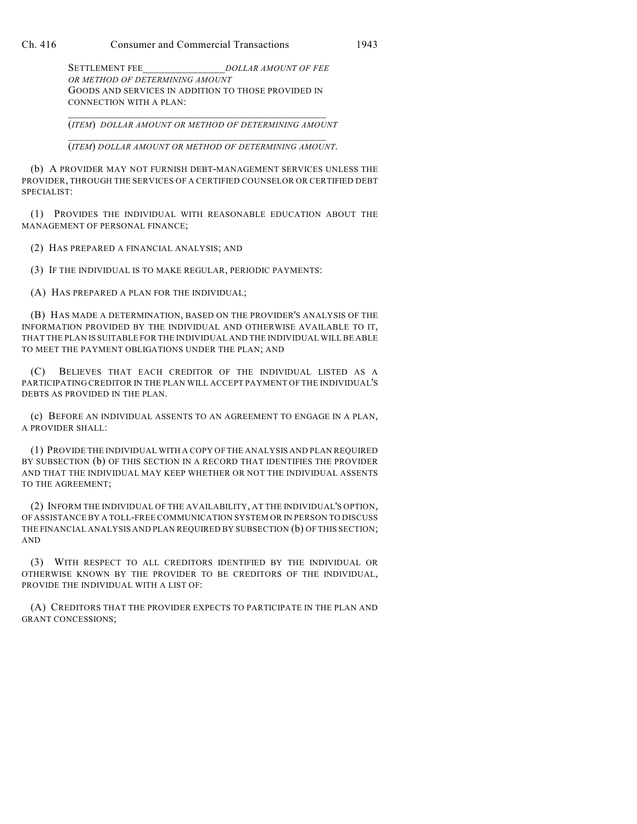SETTLEMENT FEE DOLLAR AMOUNT OF FEE *OR METHOD OF DETERMINING AMOUNT* GOODS AND SERVICES IN ADDITION TO THOSE PROVIDED IN CONNECTION WITH A PLAN:

\_\_\_\_\_\_\_\_\_\_\_\_\_\_\_\_\_\_\_\_\_\_\_\_\_\_\_\_\_\_\_\_\_\_\_\_\_\_\_\_\_\_\_\_\_\_\_ (*ITEM*) *DOLLAR AMOUNT OR METHOD OF DETERMINING AMOUNT*

\_\_\_\_\_\_\_\_\_\_\_\_\_\_\_\_\_\_\_\_\_\_\_\_\_\_\_\_\_\_\_\_\_\_\_\_\_\_\_\_\_\_\_\_\_\_\_ (*ITEM*) *DOLLAR AMOUNT OR METHOD OF DETERMINING AMOUNT*.

(b) A PROVIDER MAY NOT FURNISH DEBT-MANAGEMENT SERVICES UNLESS THE PROVIDER, THROUGH THE SERVICES OF A CERTIFIED COUNSELOR OR CERTIFIED DEBT SPECIALIST:

(1) PROVIDES THE INDIVIDUAL WITH REASONABLE EDUCATION ABOUT THE MANAGEMENT OF PERSONAL FINANCE;

(2) HAS PREPARED A FINANCIAL ANALYSIS; AND

(3) IF THE INDIVIDUAL IS TO MAKE REGULAR, PERIODIC PAYMENTS:

(A) HAS PREPARED A PLAN FOR THE INDIVIDUAL;

(B) HAS MADE A DETERMINATION, BASED ON THE PROVIDER'S ANALYSIS OF THE INFORMATION PROVIDED BY THE INDIVIDUAL AND OTHERWISE AVAILABLE TO IT, THAT THE PLAN IS SUITABLE FOR THE INDIVIDUAL AND THE INDIVIDUAL WILL BE ABLE TO MEET THE PAYMENT OBLIGATIONS UNDER THE PLAN; AND

(C) BELIEVES THAT EACH CREDITOR OF THE INDIVIDUAL LISTED AS A PARTICIPATING CREDITOR IN THE PLAN WILL ACCEPT PAYMENT OF THE INDIVIDUAL'S DEBTS AS PROVIDED IN THE PLAN.

(c) BEFORE AN INDIVIDUAL ASSENTS TO AN AGREEMENT TO ENGAGE IN A PLAN, A PROVIDER SHALL:

(1) PROVIDE THE INDIVIDUAL WITH A COPY OF THE ANALYSIS AND PLAN REQUIRED BY SUBSECTION (b) OF THIS SECTION IN A RECORD THAT IDENTIFIES THE PROVIDER AND THAT THE INDIVIDUAL MAY KEEP WHETHER OR NOT THE INDIVIDUAL ASSENTS TO THE AGREEMENT;

(2) INFORM THE INDIVIDUAL OF THE AVAILABILITY, AT THE INDIVIDUAL'S OPTION, OF ASSISTANCE BY A TOLL-FREE COMMUNICATION SYSTEM OR IN PERSON TO DISCUSS THE FINANCIAL ANALYSIS AND PLAN REQUIRED BY SUBSECTION (b) OF THIS SECTION; AND

(3) WITH RESPECT TO ALL CREDITORS IDENTIFIED BY THE INDIVIDUAL OR OTHERWISE KNOWN BY THE PROVIDER TO BE CREDITORS OF THE INDIVIDUAL, PROVIDE THE INDIVIDUAL WITH A LIST OF:

(A) CREDITORS THAT THE PROVIDER EXPECTS TO PARTICIPATE IN THE PLAN AND GRANT CONCESSIONS;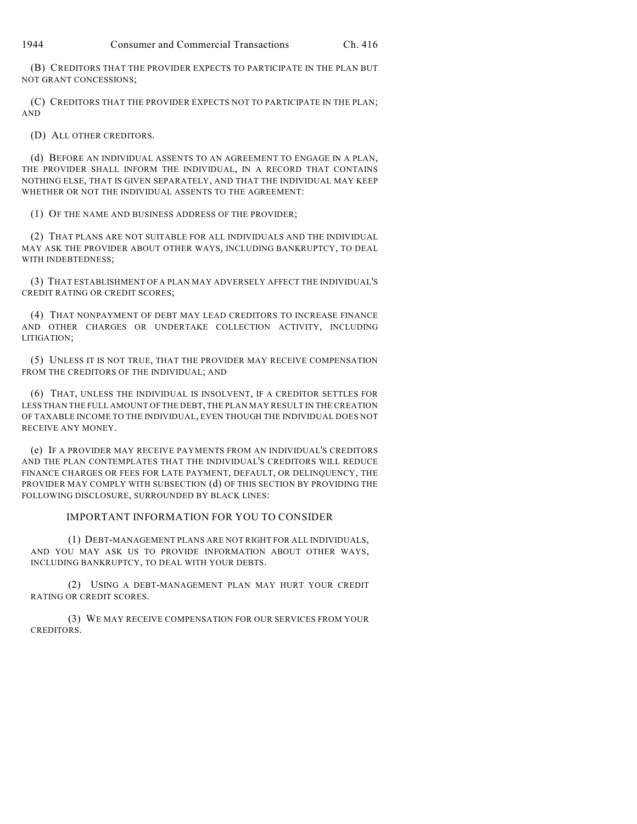(B) CREDITORS THAT THE PROVIDER EXPECTS TO PARTICIPATE IN THE PLAN BUT NOT GRANT CONCESSIONS;

(C) CREDITORS THAT THE PROVIDER EXPECTS NOT TO PARTICIPATE IN THE PLAN; AND

(D) ALL OTHER CREDITORS.

(d) BEFORE AN INDIVIDUAL ASSENTS TO AN AGREEMENT TO ENGAGE IN A PLAN, THE PROVIDER SHALL INFORM THE INDIVIDUAL, IN A RECORD THAT CONTAINS NOTHING ELSE, THAT IS GIVEN SEPARATELY, AND THAT THE INDIVIDUAL MAY KEEP WHETHER OR NOT THE INDIVIDUAL ASSENTS TO THE AGREEMENT:

(1) OF THE NAME AND BUSINESS ADDRESS OF THE PROVIDER;

(2) THAT PLANS ARE NOT SUITABLE FOR ALL INDIVIDUALS AND THE INDIVIDUAL MAY ASK THE PROVIDER ABOUT OTHER WAYS, INCLUDING BANKRUPTCY, TO DEAL WITH INDEBTEDNESS;

(3) THAT ESTABLISHMENT OF A PLAN MAY ADVERSELY AFFECT THE INDIVIDUAL'S CREDIT RATING OR CREDIT SCORES;

(4) THAT NONPAYMENT OF DEBT MAY LEAD CREDITORS TO INCREASE FINANCE AND OTHER CHARGES OR UNDERTAKE COLLECTION ACTIVITY, INCLUDING LITIGATION;

(5) UNLESS IT IS NOT TRUE, THAT THE PROVIDER MAY RECEIVE COMPENSATION FROM THE CREDITORS OF THE INDIVIDUAL; AND

(6) THAT, UNLESS THE INDIVIDUAL IS INSOLVENT, IF A CREDITOR SETTLES FOR LESS THAN THE FULL AMOUNT OF THE DEBT, THE PLAN MAY RESULT IN THE CREATION OF TAXABLE INCOME TO THE INDIVIDUAL, EVEN THOUGH THE INDIVIDUAL DOES NOT RECEIVE ANY MONEY.

(e) IF A PROVIDER MAY RECEIVE PAYMENTS FROM AN INDIVIDUAL'S CREDITORS AND THE PLAN CONTEMPLATES THAT THE INDIVIDUAL'S CREDITORS WILL REDUCE FINANCE CHARGES OR FEES FOR LATE PAYMENT, DEFAULT, OR DELINQUENCY, THE PROVIDER MAY COMPLY WITH SUBSECTION (d) OF THIS SECTION BY PROVIDING THE FOLLOWING DISCLOSURE, SURROUNDED BY BLACK LINES:

IMPORTANT INFORMATION FOR YOU TO CONSIDER

(1) DEBT-MANAGEMENT PLANS ARE NOT RIGHT FOR ALL INDIVIDUALS, AND YOU MAY ASK US TO PROVIDE INFORMATION ABOUT OTHER WAYS, INCLUDING BANKRUPTCY, TO DEAL WITH YOUR DEBTS.

(2) USING A DEBT-MANAGEMENT PLAN MAY HURT YOUR CREDIT RATING OR CREDIT SCORES.

(3) WE MAY RECEIVE COMPENSATION FOR OUR SERVICES FROM YOUR CREDITORS.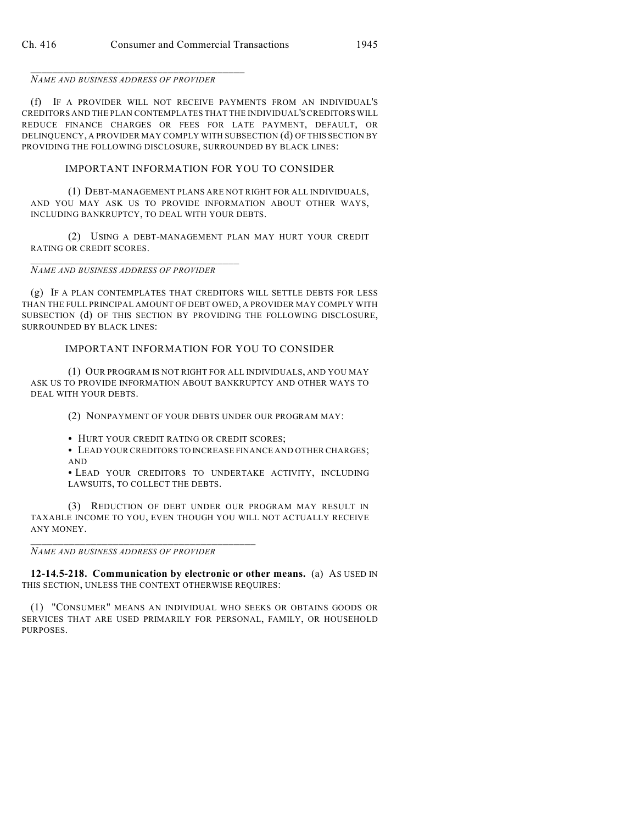\_\_\_\_\_\_\_\_\_\_\_\_\_\_\_\_\_\_\_\_\_\_\_\_\_\_\_\_\_\_\_\_\_\_\_\_\_\_\_ *NAME AND BUSINESS ADDRESS OF PROVIDER*

(f) IF A PROVIDER WILL NOT RECEIVE PAYMENTS FROM AN INDIVIDUAL'S CREDITORS AND THE PLAN CONTEMPLATES THAT THE INDIVIDUAL'S CREDITORS WILL REDUCE FINANCE CHARGES OR FEES FOR LATE PAYMENT, DEFAULT, OR DELINQUENCY, A PROVIDER MAY COMPLY WITH SUBSECTION (d) OF THIS SECTION BY PROVIDING THE FOLLOWING DISCLOSURE, SURROUNDED BY BLACK LINES:

## IMPORTANT INFORMATION FOR YOU TO CONSIDER

(1) DEBT-MANAGEMENT PLANS ARE NOT RIGHT FOR ALL INDIVIDUALS, AND YOU MAY ASK US TO PROVIDE INFORMATION ABOUT OTHER WAYS, INCLUDING BANKRUPTCY, TO DEAL WITH YOUR DEBTS.

(2) USING A DEBT-MANAGEMENT PLAN MAY HURT YOUR CREDIT RATING OR CREDIT SCORES.

#### \_\_\_\_\_\_\_\_\_\_\_\_\_\_\_\_\_\_\_\_\_\_\_\_\_\_\_\_\_\_\_\_\_\_\_\_\_\_ *NAME AND BUSINESS ADDRESS OF PROVIDER*

(g) IF A PLAN CONTEMPLATES THAT CREDITORS WILL SETTLE DEBTS FOR LESS THAN THE FULL PRINCIPAL AMOUNT OF DEBT OWED, A PROVIDER MAY COMPLY WITH SUBSECTION (d) OF THIS SECTION BY PROVIDING THE FOLLOWING DISCLOSURE, SURROUNDED BY BLACK LINES:

## IMPORTANT INFORMATION FOR YOU TO CONSIDER

(1) OUR PROGRAM IS NOT RIGHT FOR ALL INDIVIDUALS, AND YOU MAY ASK US TO PROVIDE INFORMATION ABOUT BANKRUPTCY AND OTHER WAYS TO DEAL WITH YOUR DEBTS.

(2) NONPAYMENT OF YOUR DEBTS UNDER OUR PROGRAM MAY:

• HURT YOUR CREDIT RATING OR CREDIT SCORES;

 $\bullet$  LEAD YOUR CREDITORS TO INCREASE FINANCE AND OTHER CHARGES; AND

· LEAD YOUR CREDITORS TO UNDERTAKE ACTIVITY, INCLUDING LAWSUITS, TO COLLECT THE DEBTS.

(3) REDUCTION OF DEBT UNDER OUR PROGRAM MAY RESULT IN TAXABLE INCOME TO YOU, EVEN THOUGH YOU WILL NOT ACTUALLY RECEIVE ANY MONEY.

#### *NAME AND BUSINESS ADDRESS OF PROVIDER*

\_\_\_\_\_\_\_\_\_\_\_\_\_\_\_\_\_\_\_\_\_\_\_\_\_\_\_\_\_\_\_\_\_\_\_\_\_\_\_\_\_

**12-14.5-218. Communication by electronic or other means.** (a) AS USED IN THIS SECTION, UNLESS THE CONTEXT OTHERWISE REQUIRES:

(1) "CONSUMER" MEANS AN INDIVIDUAL WHO SEEKS OR OBTAINS GOODS OR SERVICES THAT ARE USED PRIMARILY FOR PERSONAL, FAMILY, OR HOUSEHOLD PURPOSES.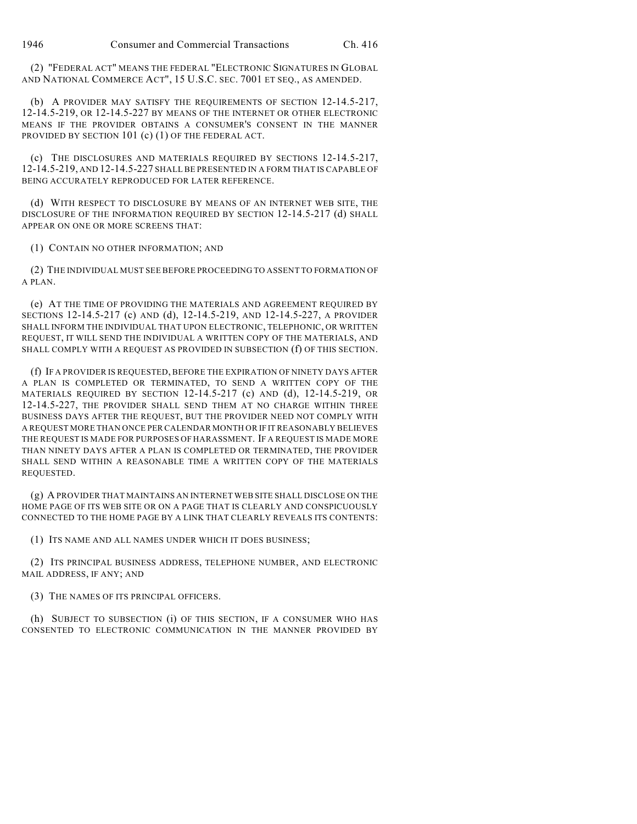(2) "FEDERAL ACT" MEANS THE FEDERAL "ELECTRONIC SIGNATURES IN GLOBAL AND NATIONAL COMMERCE ACT", 15 U.S.C. SEC. 7001 ET SEQ., AS AMENDED.

(b) A PROVIDER MAY SATISFY THE REQUIREMENTS OF SECTION 12-14.5-217, 12-14.5-219, OR 12-14.5-227 BY MEANS OF THE INTERNET OR OTHER ELECTRONIC MEANS IF THE PROVIDER OBTAINS A CONSUMER'S CONSENT IN THE MANNER PROVIDED BY SECTION 101 (c) (1) OF THE FEDERAL ACT.

(c) THE DISCLOSURES AND MATERIALS REQUIRED BY SECTIONS 12-14.5-217, 12-14.5-219, AND 12-14.5-227 SHALL BE PRESENTED IN A FORM THAT IS CAPABLE OF BEING ACCURATELY REPRODUCED FOR LATER REFERENCE.

(d) WITH RESPECT TO DISCLOSURE BY MEANS OF AN INTERNET WEB SITE, THE DISCLOSURE OF THE INFORMATION REQUIRED BY SECTION 12-14.5-217 (d) SHALL APPEAR ON ONE OR MORE SCREENS THAT:

(1) CONTAIN NO OTHER INFORMATION; AND

(2) THE INDIVIDUAL MUST SEE BEFORE PROCEEDING TO ASSENT TO FORMATION OF A PLAN.

(e) AT THE TIME OF PROVIDING THE MATERIALS AND AGREEMENT REQUIRED BY SECTIONS 12-14.5-217 (c) AND (d), 12-14.5-219, AND 12-14.5-227, A PROVIDER SHALL INFORM THE INDIVIDUAL THAT UPON ELECTRONIC, TELEPHONIC, OR WRITTEN REQUEST, IT WILL SEND THE INDIVIDUAL A WRITTEN COPY OF THE MATERIALS, AND SHALL COMPLY WITH A REQUEST AS PROVIDED IN SUBSECTION (f) OF THIS SECTION.

(f) IF A PROVIDER IS REQUESTED, BEFORE THE EXPIRATION OF NINETY DAYS AFTER A PLAN IS COMPLETED OR TERMINATED, TO SEND A WRITTEN COPY OF THE MATERIALS REQUIRED BY SECTION 12-14.5-217 (c) AND (d), 12-14.5-219, OR 12-14.5-227, THE PROVIDER SHALL SEND THEM AT NO CHARGE WITHIN THREE BUSINESS DAYS AFTER THE REQUEST, BUT THE PROVIDER NEED NOT COMPLY WITH A REQUEST MORE THAN ONCE PER CALENDAR MONTH OR IF IT REASONABLY BELIEVES THE REQUEST IS MADE FOR PURPOSES OF HARASSMENT. IF A REQUEST IS MADE MORE THAN NINETY DAYS AFTER A PLAN IS COMPLETED OR TERMINATED, THE PROVIDER SHALL SEND WITHIN A REASONABLE TIME A WRITTEN COPY OF THE MATERIALS REQUESTED.

(g) A PROVIDER THAT MAINTAINS AN INTERNET WEB SITE SHALL DISCLOSE ON THE HOME PAGE OF ITS WEB SITE OR ON A PAGE THAT IS CLEARLY AND CONSPICUOUSLY CONNECTED TO THE HOME PAGE BY A LINK THAT CLEARLY REVEALS ITS CONTENTS:

(1) ITS NAME AND ALL NAMES UNDER WHICH IT DOES BUSINESS;

(2) ITS PRINCIPAL BUSINESS ADDRESS, TELEPHONE NUMBER, AND ELECTRONIC MAIL ADDRESS, IF ANY; AND

(3) THE NAMES OF ITS PRINCIPAL OFFICERS.

(h) SUBJECT TO SUBSECTION (i) OF THIS SECTION, IF A CONSUMER WHO HAS CONSENTED TO ELECTRONIC COMMUNICATION IN THE MANNER PROVIDED BY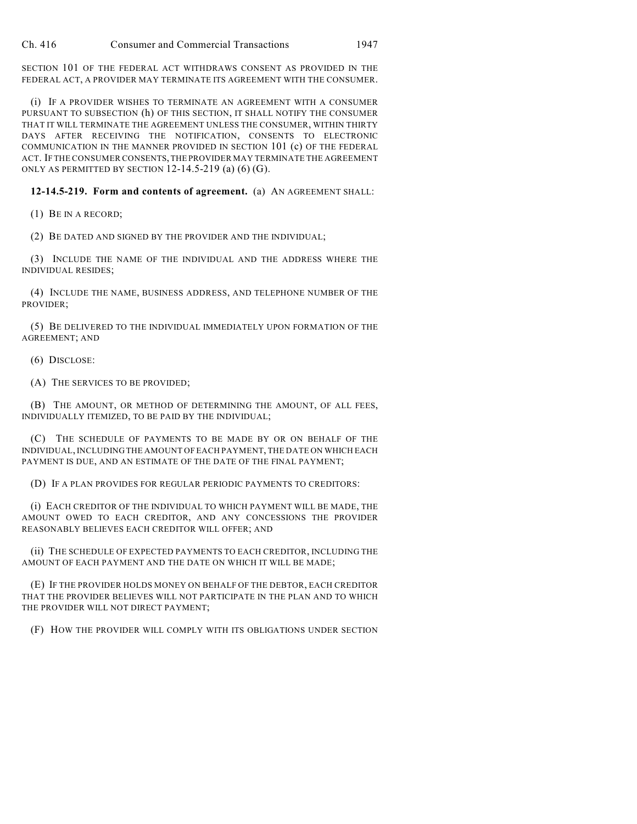SECTION 101 OF THE FEDERAL ACT WITHDRAWS CONSENT AS PROVIDED IN THE FEDERAL ACT, A PROVIDER MAY TERMINATE ITS AGREEMENT WITH THE CONSUMER.

(i) IF A PROVIDER WISHES TO TERMINATE AN AGREEMENT WITH A CONSUMER PURSUANT TO SUBSECTION (h) OF THIS SECTION, IT SHALL NOTIFY THE CONSUMER THAT IT WILL TERMINATE THE AGREEMENT UNLESS THE CONSUMER, WITHIN THIRTY DAYS AFTER RECEIVING THE NOTIFICATION, CONSENTS TO ELECTRONIC COMMUNICATION IN THE MANNER PROVIDED IN SECTION 101 (c) OF THE FEDERAL ACT. IF THE CONSUMER CONSENTS, THE PROVIDER MAY TERMINATE THE AGREEMENT ONLY AS PERMITTED BY SECTION  $12-14.5-219$  (a) (6) (G).

## **12-14.5-219. Form and contents of agreement.** (a) AN AGREEMENT SHALL:

(1) BE IN A RECORD;

(2) BE DATED AND SIGNED BY THE PROVIDER AND THE INDIVIDUAL;

(3) INCLUDE THE NAME OF THE INDIVIDUAL AND THE ADDRESS WHERE THE INDIVIDUAL RESIDES;

(4) INCLUDE THE NAME, BUSINESS ADDRESS, AND TELEPHONE NUMBER OF THE PROVIDER;

(5) BE DELIVERED TO THE INDIVIDUAL IMMEDIATELY UPON FORMATION OF THE AGREEMENT; AND

(6) DISCLOSE:

(A) THE SERVICES TO BE PROVIDED;

(B) THE AMOUNT, OR METHOD OF DETERMINING THE AMOUNT, OF ALL FEES, INDIVIDUALLY ITEMIZED, TO BE PAID BY THE INDIVIDUAL;

(C) THE SCHEDULE OF PAYMENTS TO BE MADE BY OR ON BEHALF OF THE INDIVIDUAL, INCLUDING THE AMOUNT OF EACH PAYMENT, THE DATE ON WHICH EACH PAYMENT IS DUE, AND AN ESTIMATE OF THE DATE OF THE FINAL PAYMENT;

(D) IF A PLAN PROVIDES FOR REGULAR PERIODIC PAYMENTS TO CREDITORS:

(i) EACH CREDITOR OF THE INDIVIDUAL TO WHICH PAYMENT WILL BE MADE, THE AMOUNT OWED TO EACH CREDITOR, AND ANY CONCESSIONS THE PROVIDER REASONABLY BELIEVES EACH CREDITOR WILL OFFER; AND

(ii) THE SCHEDULE OF EXPECTED PAYMENTS TO EACH CREDITOR, INCLUDING THE AMOUNT OF EACH PAYMENT AND THE DATE ON WHICH IT WILL BE MADE;

(E) IF THE PROVIDER HOLDS MONEY ON BEHALF OF THE DEBTOR, EACH CREDITOR THAT THE PROVIDER BELIEVES WILL NOT PARTICIPATE IN THE PLAN AND TO WHICH THE PROVIDER WILL NOT DIRECT PAYMENT;

(F) HOW THE PROVIDER WILL COMPLY WITH ITS OBLIGATIONS UNDER SECTION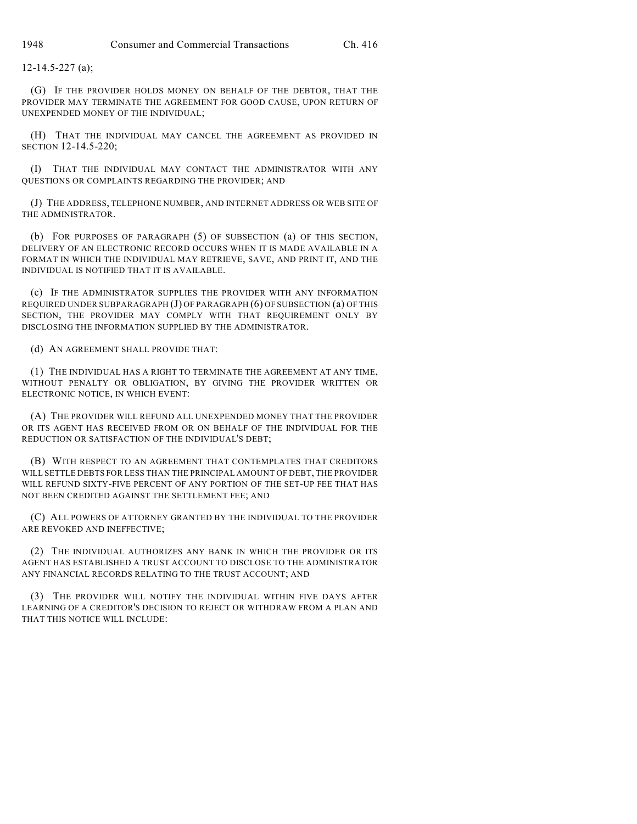12-14.5-227 (a);

(G) IF THE PROVIDER HOLDS MONEY ON BEHALF OF THE DEBTOR, THAT THE PROVIDER MAY TERMINATE THE AGREEMENT FOR GOOD CAUSE, UPON RETURN OF UNEXPENDED MONEY OF THE INDIVIDUAL;

(H) THAT THE INDIVIDUAL MAY CANCEL THE AGREEMENT AS PROVIDED IN SECTION 12-14.5-220;

(I) THAT THE INDIVIDUAL MAY CONTACT THE ADMINISTRATOR WITH ANY QUESTIONS OR COMPLAINTS REGARDING THE PROVIDER; AND

(J) THE ADDRESS, TELEPHONE NUMBER, AND INTERNET ADDRESS OR WEB SITE OF THE ADMINISTRATOR.

(b) FOR PURPOSES OF PARAGRAPH (5) OF SUBSECTION (a) OF THIS SECTION, DELIVERY OF AN ELECTRONIC RECORD OCCURS WHEN IT IS MADE AVAILABLE IN A FORMAT IN WHICH THE INDIVIDUAL MAY RETRIEVE, SAVE, AND PRINT IT, AND THE INDIVIDUAL IS NOTIFIED THAT IT IS AVAILABLE.

(c) IF THE ADMINISTRATOR SUPPLIES THE PROVIDER WITH ANY INFORMATION REQUIRED UNDER SUBPARAGRAPH (J) OF PARAGRAPH (6) OF SUBSECTION (a) OF THIS SECTION, THE PROVIDER MAY COMPLY WITH THAT REQUIREMENT ONLY BY DISCLOSING THE INFORMATION SUPPLIED BY THE ADMINISTRATOR.

(d) AN AGREEMENT SHALL PROVIDE THAT:

(1) THE INDIVIDUAL HAS A RIGHT TO TERMINATE THE AGREEMENT AT ANY TIME, WITHOUT PENALTY OR OBLIGATION, BY GIVING THE PROVIDER WRITTEN OR ELECTRONIC NOTICE, IN WHICH EVENT:

(A) THE PROVIDER WILL REFUND ALL UNEXPENDED MONEY THAT THE PROVIDER OR ITS AGENT HAS RECEIVED FROM OR ON BEHALF OF THE INDIVIDUAL FOR THE REDUCTION OR SATISFACTION OF THE INDIVIDUAL'S DEBT;

(B) WITH RESPECT TO AN AGREEMENT THAT CONTEMPLATES THAT CREDITORS WILL SETTLE DEBTS FOR LESS THAN THE PRINCIPAL AMOUNT OF DEBT, THE PROVIDER WILL REFUND SIXTY-FIVE PERCENT OF ANY PORTION OF THE SET-UP FEE THAT HAS NOT BEEN CREDITED AGAINST THE SETTLEMENT FEE; AND

(C) ALL POWERS OF ATTORNEY GRANTED BY THE INDIVIDUAL TO THE PROVIDER ARE REVOKED AND INEFFECTIVE;

(2) THE INDIVIDUAL AUTHORIZES ANY BANK IN WHICH THE PROVIDER OR ITS AGENT HAS ESTABLISHED A TRUST ACCOUNT TO DISCLOSE TO THE ADMINISTRATOR ANY FINANCIAL RECORDS RELATING TO THE TRUST ACCOUNT; AND

(3) THE PROVIDER WILL NOTIFY THE INDIVIDUAL WITHIN FIVE DAYS AFTER LEARNING OF A CREDITOR'S DECISION TO REJECT OR WITHDRAW FROM A PLAN AND THAT THIS NOTICE WILL INCLUDE: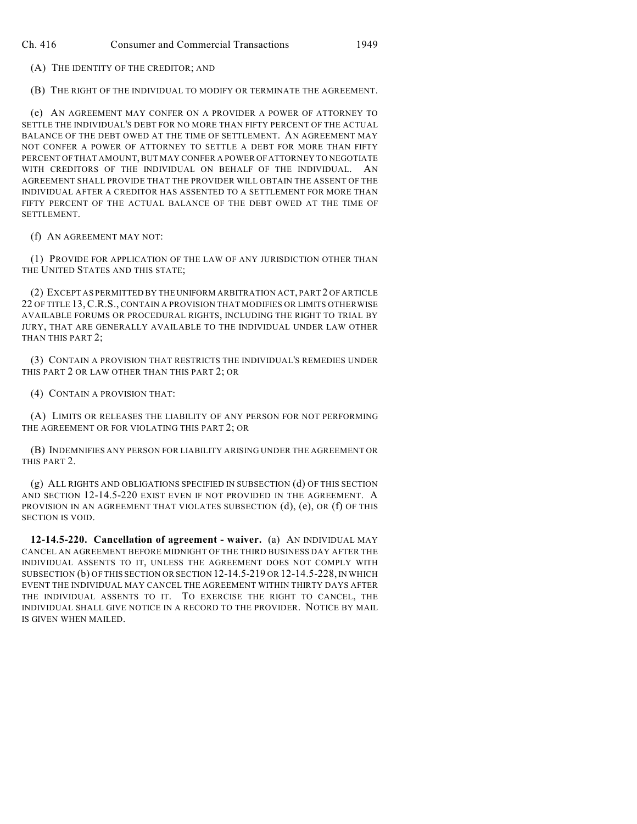(A) THE IDENTITY OF THE CREDITOR; AND

(B) THE RIGHT OF THE INDIVIDUAL TO MODIFY OR TERMINATE THE AGREEMENT.

(e) AN AGREEMENT MAY CONFER ON A PROVIDER A POWER OF ATTORNEY TO SETTLE THE INDIVIDUAL'S DEBT FOR NO MORE THAN FIFTY PERCENT OF THE ACTUAL BALANCE OF THE DEBT OWED AT THE TIME OF SETTLEMENT. AN AGREEMENT MAY NOT CONFER A POWER OF ATTORNEY TO SETTLE A DEBT FOR MORE THAN FIFTY PERCENT OF THAT AMOUNT, BUT MAY CONFER A POWER OF ATTORNEY TO NEGOTIATE WITH CREDITORS OF THE INDIVIDUAL ON BEHALF OF THE INDIVIDUAL. AN AGREEMENT SHALL PROVIDE THAT THE PROVIDER WILL OBTAIN THE ASSENT OF THE INDIVIDUAL AFTER A CREDITOR HAS ASSENTED TO A SETTLEMENT FOR MORE THAN FIFTY PERCENT OF THE ACTUAL BALANCE OF THE DEBT OWED AT THE TIME OF SETTLEMENT.

(f) AN AGREEMENT MAY NOT:

(1) PROVIDE FOR APPLICATION OF THE LAW OF ANY JURISDICTION OTHER THAN THE UNITED STATES AND THIS STATE;

(2) EXCEPT AS PERMITTED BY THE UNIFORM ARBITRATION ACT, PART 2 OF ARTICLE 22 OF TITLE 13,C.R.S., CONTAIN A PROVISION THAT MODIFIES OR LIMITS OTHERWISE AVAILABLE FORUMS OR PROCEDURAL RIGHTS, INCLUDING THE RIGHT TO TRIAL BY JURY, THAT ARE GENERALLY AVAILABLE TO THE INDIVIDUAL UNDER LAW OTHER THAN THIS PART 2;

(3) CONTAIN A PROVISION THAT RESTRICTS THE INDIVIDUAL'S REMEDIES UNDER THIS PART 2 OR LAW OTHER THAN THIS PART 2; OR

(4) CONTAIN A PROVISION THAT:

(A) LIMITS OR RELEASES THE LIABILITY OF ANY PERSON FOR NOT PERFORMING THE AGREEMENT OR FOR VIOLATING THIS PART 2; OR

(B) INDEMNIFIES ANY PERSON FOR LIABILITY ARISING UNDER THE AGREEMENT OR THIS PART 2.

(g) ALL RIGHTS AND OBLIGATIONS SPECIFIED IN SUBSECTION (d) OF THIS SECTION AND SECTION 12-14.5-220 EXIST EVEN IF NOT PROVIDED IN THE AGREEMENT. A PROVISION IN AN AGREEMENT THAT VIOLATES SUBSECTION (d), (e), OR (f) OF THIS SECTION IS VOID.

**12-14.5-220. Cancellation of agreement - waiver.** (a) AN INDIVIDUAL MAY CANCEL AN AGREEMENT BEFORE MIDNIGHT OF THE THIRD BUSINESS DAY AFTER THE INDIVIDUAL ASSENTS TO IT, UNLESS THE AGREEMENT DOES NOT COMPLY WITH SUBSECTION (b) OF THIS SECTION OR SECTION 12-14.5-219 OR 12-14.5-228, IN WHICH EVENT THE INDIVIDUAL MAY CANCEL THE AGREEMENT WITHIN THIRTY DAYS AFTER THE INDIVIDUAL ASSENTS TO IT. TO EXERCISE THE RIGHT TO CANCEL, THE INDIVIDUAL SHALL GIVE NOTICE IN A RECORD TO THE PROVIDER. NOTICE BY MAIL IS GIVEN WHEN MAILED.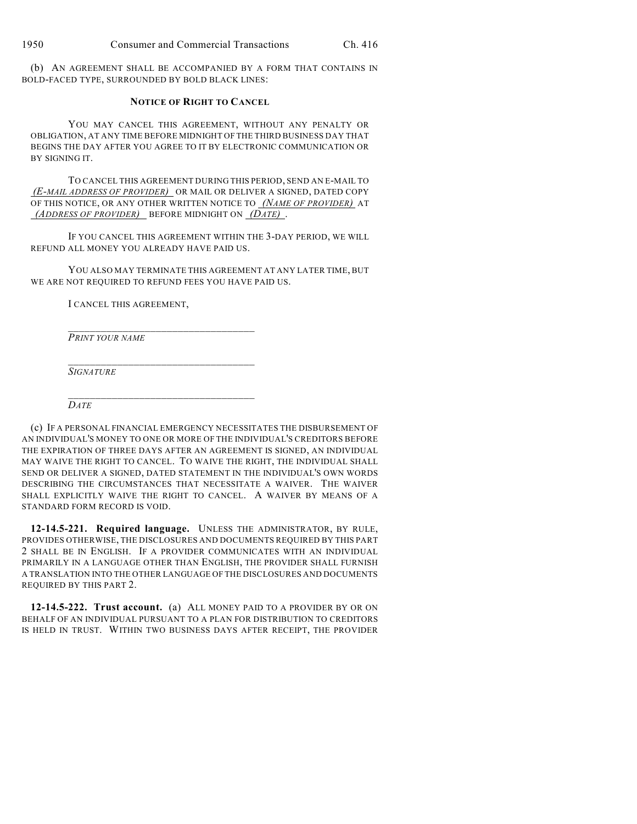(b) AN AGREEMENT SHALL BE ACCOMPANIED BY A FORM THAT CONTAINS IN BOLD-FACED TYPE, SURROUNDED BY BOLD BLACK LINES:

#### **NOTICE OF RIGHT TO CANCEL**

YOU MAY CANCEL THIS AGREEMENT, WITHOUT ANY PENALTY OR OBLIGATION, AT ANY TIME BEFORE MIDNIGHT OF THE THIRD BUSINESS DAY THAT BEGINS THE DAY AFTER YOU AGREE TO IT BY ELECTRONIC COMMUNICATION OR BY SIGNING IT.

TO CANCEL THIS AGREEMENT DURING THIS PERIOD, SEND AN E-MAIL TO *(E-MAIL ADDRESS OF PROVIDER)* OR MAIL OR DELIVER A SIGNED, DATED COPY OF THIS NOTICE, OR ANY OTHER WRITTEN NOTICE TO *(NAME OF PROVIDER)* AT  *(ADDRESS OF PROVIDER)* BEFORE MIDNIGHT ON *(DATE)* .

IF YOU CANCEL THIS AGREEMENT WITHIN THE 3-DAY PERIOD, WE WILL REFUND ALL MONEY YOU ALREADY HAVE PAID US.

YOU ALSO MAY TERMINATE THIS AGREEMENT AT ANY LATER TIME, BUT WE ARE NOT REQUIRED TO REFUND FEES YOU HAVE PAID US.

I CANCEL THIS AGREEMENT,

\_\_\_\_\_\_\_\_\_\_\_\_\_\_\_\_\_\_\_\_\_\_\_\_\_\_\_\_\_\_\_\_\_\_

\_\_\_\_\_\_\_\_\_\_\_\_\_\_\_\_\_\_\_\_\_\_\_\_\_\_\_\_\_\_\_\_\_\_ *PRINT YOUR NAME*

\_\_\_\_\_\_\_\_\_\_\_\_\_\_\_\_\_\_\_\_\_\_\_\_\_\_\_\_\_\_\_\_\_\_ *SIGNATURE*

*DATE*

(c) IF A PERSONAL FINANCIAL EMERGENCY NECESSITATES THE DISBURSEMENT OF AN INDIVIDUAL'S MONEY TO ONE OR MORE OF THE INDIVIDUAL'S CREDITORS BEFORE THE EXPIRATION OF THREE DAYS AFTER AN AGREEMENT IS SIGNED, AN INDIVIDUAL MAY WAIVE THE RIGHT TO CANCEL. TO WAIVE THE RIGHT, THE INDIVIDUAL SHALL SEND OR DELIVER A SIGNED, DATED STATEMENT IN THE INDIVIDUAL'S OWN WORDS DESCRIBING THE CIRCUMSTANCES THAT NECESSITATE A WAIVER. THE WAIVER SHALL EXPLICITLY WAIVE THE RIGHT TO CANCEL. A WAIVER BY MEANS OF A STANDARD FORM RECORD IS VOID.

**12-14.5-221. Required language.** UNLESS THE ADMINISTRATOR, BY RULE, PROVIDES OTHERWISE, THE DISCLOSURES AND DOCUMENTS REQUIRED BY THIS PART 2 SHALL BE IN ENGLISH. IF A PROVIDER COMMUNICATES WITH AN INDIVIDUAL PRIMARILY IN A LANGUAGE OTHER THAN ENGLISH, THE PROVIDER SHALL FURNISH A TRANSLATION INTO THE OTHER LANGUAGE OF THE DISCLOSURES AND DOCUMENTS REQUIRED BY THIS PART 2.

**12-14.5-222. Trust account.** (a) ALL MONEY PAID TO A PROVIDER BY OR ON BEHALF OF AN INDIVIDUAL PURSUANT TO A PLAN FOR DISTRIBUTION TO CREDITORS IS HELD IN TRUST. WITHIN TWO BUSINESS DAYS AFTER RECEIPT, THE PROVIDER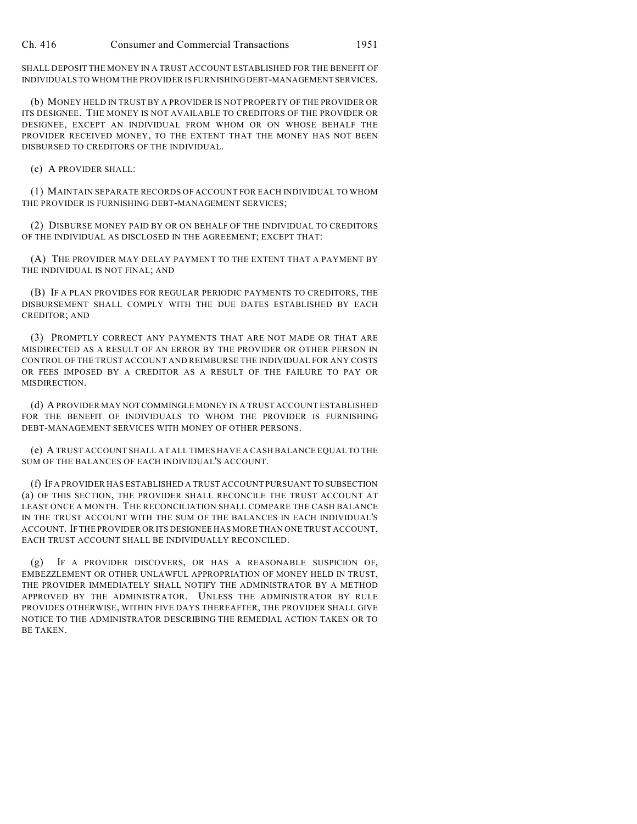SHALL DEPOSIT THE MONEY IN A TRUST ACCOUNT ESTABLISHED FOR THE BENEFIT OF INDIVIDUALS TO WHOM THE PROVIDER IS FURNISHING DEBT-MANAGEMENT SERVICES.

(b) MONEY HELD IN TRUST BY A PROVIDER IS NOT PROPERTY OF THE PROVIDER OR ITS DESIGNEE. THE MONEY IS NOT AVAILABLE TO CREDITORS OF THE PROVIDER OR DESIGNEE, EXCEPT AN INDIVIDUAL FROM WHOM OR ON WHOSE BEHALF THE PROVIDER RECEIVED MONEY, TO THE EXTENT THAT THE MONEY HAS NOT BEEN DISBURSED TO CREDITORS OF THE INDIVIDUAL.

(c) A PROVIDER SHALL:

(1) MAINTAIN SEPARATE RECORDS OF ACCOUNT FOR EACH INDIVIDUAL TO WHOM THE PROVIDER IS FURNISHING DEBT-MANAGEMENT SERVICES;

(2) DISBURSE MONEY PAID BY OR ON BEHALF OF THE INDIVIDUAL TO CREDITORS OF THE INDIVIDUAL AS DISCLOSED IN THE AGREEMENT; EXCEPT THAT:

(A) THE PROVIDER MAY DELAY PAYMENT TO THE EXTENT THAT A PAYMENT BY THE INDIVIDUAL IS NOT FINAL; AND

(B) IF A PLAN PROVIDES FOR REGULAR PERIODIC PAYMENTS TO CREDITORS, THE DISBURSEMENT SHALL COMPLY WITH THE DUE DATES ESTABLISHED BY EACH CREDITOR; AND

(3) PROMPTLY CORRECT ANY PAYMENTS THAT ARE NOT MADE OR THAT ARE MISDIRECTED AS A RESULT OF AN ERROR BY THE PROVIDER OR OTHER PERSON IN CONTROL OF THE TRUST ACCOUNT AND REIMBURSE THE INDIVIDUAL FOR ANY COSTS OR FEES IMPOSED BY A CREDITOR AS A RESULT OF THE FAILURE TO PAY OR MISDIRECTION.

(d) A PROVIDER MAY NOT COMMINGLE MONEY IN A TRUST ACCOUNT ESTABLISHED FOR THE BENEFIT OF INDIVIDUALS TO WHOM THE PROVIDER IS FURNISHING DEBT-MANAGEMENT SERVICES WITH MONEY OF OTHER PERSONS.

(e) A TRUST ACCOUNT SHALL AT ALL TIMES HAVE A CASH BALANCE EQUAL TO THE SUM OF THE BALANCES OF EACH INDIVIDUAL'S ACCOUNT.

(f) IF A PROVIDER HAS ESTABLISHED A TRUST ACCOUNT PURSUANT TO SUBSECTION (a) OF THIS SECTION, THE PROVIDER SHALL RECONCILE THE TRUST ACCOUNT AT LEAST ONCE A MONTH. THE RECONCILIATION SHALL COMPARE THE CASH BALANCE IN THE TRUST ACCOUNT WITH THE SUM OF THE BALANCES IN EACH INDIVIDUAL'S ACCOUNT. IFTHE PROVIDER OR ITS DESIGNEE HAS MORE THAN ONE TRUST ACCOUNT, EACH TRUST ACCOUNT SHALL BE INDIVIDUALLY RECONCILED.

IF A PROVIDER DISCOVERS, OR HAS A REASONABLE SUSPICION OF, EMBEZZLEMENT OR OTHER UNLAWFUL APPROPRIATION OF MONEY HELD IN TRUST, THE PROVIDER IMMEDIATELY SHALL NOTIFY THE ADMINISTRATOR BY A METHOD APPROVED BY THE ADMINISTRATOR. UNLESS THE ADMINISTRATOR BY RULE PROVIDES OTHERWISE, WITHIN FIVE DAYS THEREAFTER, THE PROVIDER SHALL GIVE NOTICE TO THE ADMINISTRATOR DESCRIBING THE REMEDIAL ACTION TAKEN OR TO BE TAKEN.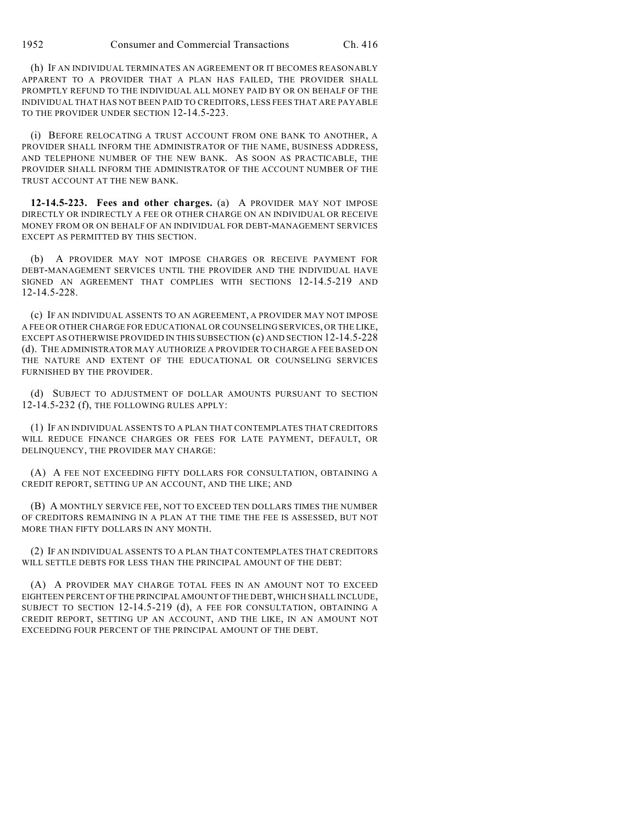(h) IF AN INDIVIDUAL TERMINATES AN AGREEMENT OR IT BECOMES REASONABLY APPARENT TO A PROVIDER THAT A PLAN HAS FAILED, THE PROVIDER SHALL PROMPTLY REFUND TO THE INDIVIDUAL ALL MONEY PAID BY OR ON BEHALF OF THE INDIVIDUAL THAT HAS NOT BEEN PAID TO CREDITORS, LESS FEES THAT ARE PAYABLE TO THE PROVIDER UNDER SECTION 12-14.5-223.

(i) BEFORE RELOCATING A TRUST ACCOUNT FROM ONE BANK TO ANOTHER, A PROVIDER SHALL INFORM THE ADMINISTRATOR OF THE NAME, BUSINESS ADDRESS, AND TELEPHONE NUMBER OF THE NEW BANK. AS SOON AS PRACTICABLE, THE PROVIDER SHALL INFORM THE ADMINISTRATOR OF THE ACCOUNT NUMBER OF THE TRUST ACCOUNT AT THE NEW BANK.

**12-14.5-223. Fees and other charges.** (a) A PROVIDER MAY NOT IMPOSE DIRECTLY OR INDIRECTLY A FEE OR OTHER CHARGE ON AN INDIVIDUAL OR RECEIVE MONEY FROM OR ON BEHALF OF AN INDIVIDUAL FOR DEBT-MANAGEMENT SERVICES EXCEPT AS PERMITTED BY THIS SECTION.

(b) A PROVIDER MAY NOT IMPOSE CHARGES OR RECEIVE PAYMENT FOR DEBT-MANAGEMENT SERVICES UNTIL THE PROVIDER AND THE INDIVIDUAL HAVE SIGNED AN AGREEMENT THAT COMPLIES WITH SECTIONS 12-14.5-219 AND 12-14.5-228.

(c) IF AN INDIVIDUAL ASSENTS TO AN AGREEMENT, A PROVIDER MAY NOT IMPOSE A FEE OR OTHER CHARGE FOR EDUCATIONAL OR COUNSELING SERVICES, OR THE LIKE, EXCEPT AS OTHERWISE PROVIDED IN THIS SUBSECTION (c) AND SECTION 12-14.5-228 (d). THE ADMINISTRATOR MAY AUTHORIZE A PROVIDER TO CHARGE A FEE BASED ON THE NATURE AND EXTENT OF THE EDUCATIONAL OR COUNSELING SERVICES FURNISHED BY THE PROVIDER.

(d) SUBJECT TO ADJUSTMENT OF DOLLAR AMOUNTS PURSUANT TO SECTION 12-14.5-232 (f), THE FOLLOWING RULES APPLY:

(1) IF AN INDIVIDUAL ASSENTS TO A PLAN THAT CONTEMPLATES THAT CREDITORS WILL REDUCE FINANCE CHARGES OR FEES FOR LATE PAYMENT, DEFAULT, OR DELINQUENCY, THE PROVIDER MAY CHARGE:

(A) A FEE NOT EXCEEDING FIFTY DOLLARS FOR CONSULTATION, OBTAINING A CREDIT REPORT, SETTING UP AN ACCOUNT, AND THE LIKE; AND

(B) A MONTHLY SERVICE FEE, NOT TO EXCEED TEN DOLLARS TIMES THE NUMBER OF CREDITORS REMAINING IN A PLAN AT THE TIME THE FEE IS ASSESSED, BUT NOT MORE THAN FIFTY DOLLARS IN ANY MONTH.

(2) IF AN INDIVIDUAL ASSENTS TO A PLAN THAT CONTEMPLATES THAT CREDITORS WILL SETTLE DEBTS FOR LESS THAN THE PRINCIPAL AMOUNT OF THE DEBT:

(A) A PROVIDER MAY CHARGE TOTAL FEES IN AN AMOUNT NOT TO EXCEED EIGHTEEN PERCENT OF THE PRINCIPAL AMOUNT OF THE DEBT, WHICH SHALL INCLUDE, SUBJECT TO SECTION 12-14.5-219 (d), A FEE FOR CONSULTATION, OBTAINING A CREDIT REPORT, SETTING UP AN ACCOUNT, AND THE LIKE, IN AN AMOUNT NOT EXCEEDING FOUR PERCENT OF THE PRINCIPAL AMOUNT OF THE DEBT.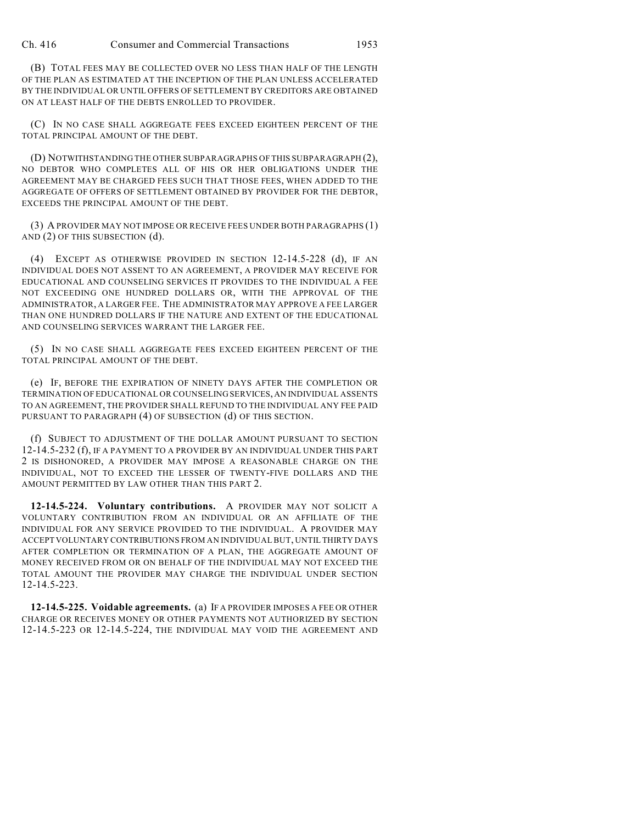Ch. 416 Consumer and Commercial Transactions 1953

(B) TOTAL FEES MAY BE COLLECTED OVER NO LESS THAN HALF OF THE LENGTH OF THE PLAN AS ESTIMATED AT THE INCEPTION OF THE PLAN UNLESS ACCELERATED BY THE INDIVIDUAL OR UNTIL OFFERS OF SETTLEMENT BY CREDITORS ARE OBTAINED ON AT LEAST HALF OF THE DEBTS ENROLLED TO PROVIDER.

(C) IN NO CASE SHALL AGGREGATE FEES EXCEED EIGHTEEN PERCENT OF THE TOTAL PRINCIPAL AMOUNT OF THE DEBT.

(D) NOTWITHSTANDING THE OTHER SUBPARAGRAPHS OF THIS SUBPARAGRAPH (2), NO DEBTOR WHO COMPLETES ALL OF HIS OR HER OBLIGATIONS UNDER THE AGREEMENT MAY BE CHARGED FEES SUCH THAT THOSE FEES, WHEN ADDED TO THE AGGREGATE OF OFFERS OF SETTLEMENT OBTAINED BY PROVIDER FOR THE DEBTOR, EXCEEDS THE PRINCIPAL AMOUNT OF THE DEBT.

(3) A PROVIDER MAY NOT IMPOSE OR RECEIVE FEES UNDER BOTH PARAGRAPHS (1) AND (2) OF THIS SUBSECTION (d).

(4) EXCEPT AS OTHERWISE PROVIDED IN SECTION 12-14.5-228 (d), IF AN INDIVIDUAL DOES NOT ASSENT TO AN AGREEMENT, A PROVIDER MAY RECEIVE FOR EDUCATIONAL AND COUNSELING SERVICES IT PROVIDES TO THE INDIVIDUAL A FEE NOT EXCEEDING ONE HUNDRED DOLLARS OR, WITH THE APPROVAL OF THE ADMINISTRATOR, A LARGER FEE. THE ADMINISTRATOR MAY APPROVE A FEE LARGER THAN ONE HUNDRED DOLLARS IF THE NATURE AND EXTENT OF THE EDUCATIONAL AND COUNSELING SERVICES WARRANT THE LARGER FEE.

(5) IN NO CASE SHALL AGGREGATE FEES EXCEED EIGHTEEN PERCENT OF THE TOTAL PRINCIPAL AMOUNT OF THE DEBT.

(e) IF, BEFORE THE EXPIRATION OF NINETY DAYS AFTER THE COMPLETION OR TERMINATION OF EDUCATIONAL OR COUNSELING SERVICES, AN INDIVIDUAL ASSENTS TO AN AGREEMENT, THE PROVIDER SHALL REFUND TO THE INDIVIDUAL ANY FEE PAID PURSUANT TO PARAGRAPH (4) OF SUBSECTION (d) OF THIS SECTION.

(f) SUBJECT TO ADJUSTMENT OF THE DOLLAR AMOUNT PURSUANT TO SECTION 12-14.5-232 (f), IF A PAYMENT TO A PROVIDER BY AN INDIVIDUAL UNDER THIS PART 2 IS DISHONORED, A PROVIDER MAY IMPOSE A REASONABLE CHARGE ON THE INDIVIDUAL, NOT TO EXCEED THE LESSER OF TWENTY-FIVE DOLLARS AND THE AMOUNT PERMITTED BY LAW OTHER THAN THIS PART 2.

**12-14.5-224. Voluntary contributions.** A PROVIDER MAY NOT SOLICIT A VOLUNTARY CONTRIBUTION FROM AN INDIVIDUAL OR AN AFFILIATE OF THE INDIVIDUAL FOR ANY SERVICE PROVIDED TO THE INDIVIDUAL. A PROVIDER MAY ACCEPT VOLUNTARY CONTRIBUTIONS FROM AN INDIVIDUAL BUT, UNTIL THIRTY DAYS AFTER COMPLETION OR TERMINATION OF A PLAN, THE AGGREGATE AMOUNT OF MONEY RECEIVED FROM OR ON BEHALF OF THE INDIVIDUAL MAY NOT EXCEED THE TOTAL AMOUNT THE PROVIDER MAY CHARGE THE INDIVIDUAL UNDER SECTION 12-14.5-223.

**12-14.5-225. Voidable agreements.** (a) IF A PROVIDER IMPOSES A FEE OR OTHER CHARGE OR RECEIVES MONEY OR OTHER PAYMENTS NOT AUTHORIZED BY SECTION 12-14.5-223 OR 12-14.5-224, THE INDIVIDUAL MAY VOID THE AGREEMENT AND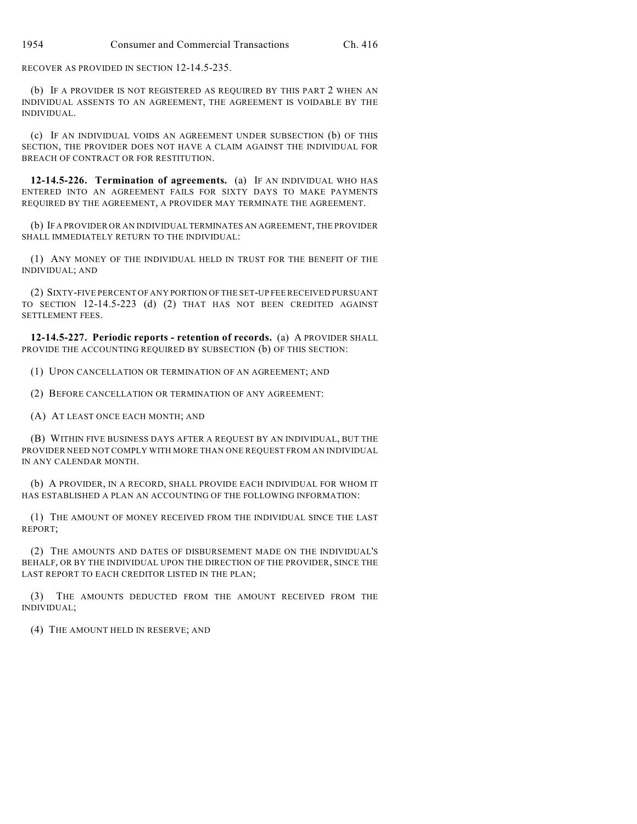RECOVER AS PROVIDED IN SECTION 12-14.5-235.

(b) IF A PROVIDER IS NOT REGISTERED AS REQUIRED BY THIS PART 2 WHEN AN INDIVIDUAL ASSENTS TO AN AGREEMENT, THE AGREEMENT IS VOIDABLE BY THE INDIVIDUAL.

(c) IF AN INDIVIDUAL VOIDS AN AGREEMENT UNDER SUBSECTION (b) OF THIS SECTION, THE PROVIDER DOES NOT HAVE A CLAIM AGAINST THE INDIVIDUAL FOR BREACH OF CONTRACT OR FOR RESTITUTION.

**12-14.5-226. Termination of agreements.** (a) IF AN INDIVIDUAL WHO HAS ENTERED INTO AN AGREEMENT FAILS FOR SIXTY DAYS TO MAKE PAYMENTS REQUIRED BY THE AGREEMENT, A PROVIDER MAY TERMINATE THE AGREEMENT.

(b) IF A PROVIDER OR AN INDIVIDUAL TERMINATES AN AGREEMENT, THE PROVIDER SHALL IMMEDIATELY RETURN TO THE INDIVIDUAL:

(1) ANY MONEY OF THE INDIVIDUAL HELD IN TRUST FOR THE BENEFIT OF THE INDIVIDUAL; AND

(2) SIXTY-FIVE PERCENT OF ANY PORTION OF THE SET-UP FEE RECEIVED PURSUANT TO SECTION 12-14.5-223 (d) (2) THAT HAS NOT BEEN CREDITED AGAINST SETTLEMENT FEES.

**12-14.5-227. Periodic reports - retention of records.** (a) A PROVIDER SHALL PROVIDE THE ACCOUNTING REQUIRED BY SUBSECTION (b) OF THIS SECTION:

(1) UPON CANCELLATION OR TERMINATION OF AN AGREEMENT; AND

(2) BEFORE CANCELLATION OR TERMINATION OF ANY AGREEMENT:

(A) AT LEAST ONCE EACH MONTH; AND

(B) WITHIN FIVE BUSINESS DAYS AFTER A REQUEST BY AN INDIVIDUAL, BUT THE PROVIDER NEED NOT COMPLY WITH MORE THAN ONE REQUEST FROM AN INDIVIDUAL IN ANY CALENDAR MONTH.

(b) A PROVIDER, IN A RECORD, SHALL PROVIDE EACH INDIVIDUAL FOR WHOM IT HAS ESTABLISHED A PLAN AN ACCOUNTING OF THE FOLLOWING INFORMATION:

(1) THE AMOUNT OF MONEY RECEIVED FROM THE INDIVIDUAL SINCE THE LAST REPORT;

(2) THE AMOUNTS AND DATES OF DISBURSEMENT MADE ON THE INDIVIDUAL'S BEHALF, OR BY THE INDIVIDUAL UPON THE DIRECTION OF THE PROVIDER, SINCE THE LAST REPORT TO EACH CREDITOR LISTED IN THE PLAN;

(3) THE AMOUNTS DEDUCTED FROM THE AMOUNT RECEIVED FROM THE INDIVIDUAL;

(4) THE AMOUNT HELD IN RESERVE; AND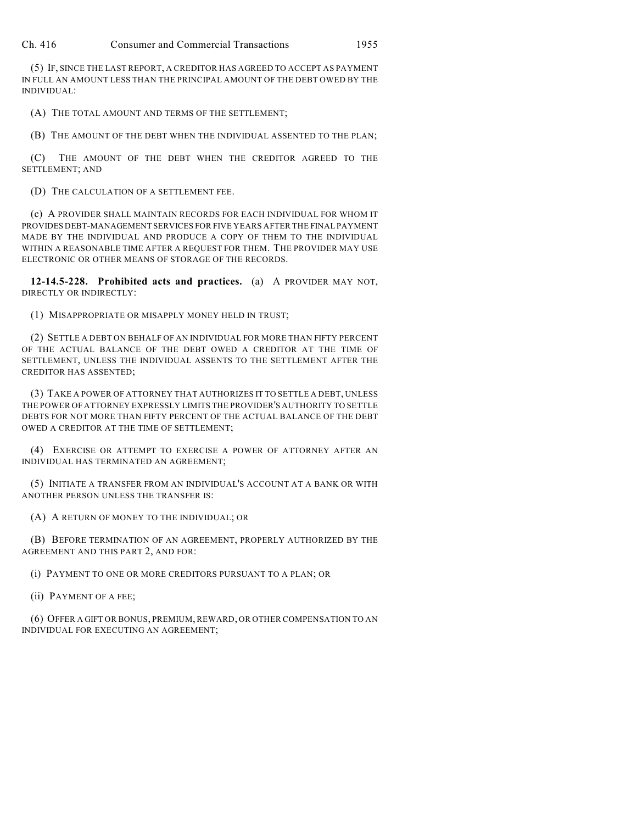Ch. 416 Consumer and Commercial Transactions 1955

(5) IF, SINCE THE LAST REPORT, A CREDITOR HAS AGREED TO ACCEPT AS PAYMENT IN FULL AN AMOUNT LESS THAN THE PRINCIPAL AMOUNT OF THE DEBT OWED BY THE INDIVIDUAL:

(A) THE TOTAL AMOUNT AND TERMS OF THE SETTLEMENT;

(B) THE AMOUNT OF THE DEBT WHEN THE INDIVIDUAL ASSENTED TO THE PLAN;

(C) THE AMOUNT OF THE DEBT WHEN THE CREDITOR AGREED TO THE SETTLEMENT; AND

(D) THE CALCULATION OF A SETTLEMENT FEE.

(c) A PROVIDER SHALL MAINTAIN RECORDS FOR EACH INDIVIDUAL FOR WHOM IT PROVIDES DEBT-MANAGEMENT SERVICES FOR FIVE YEARS AFTER THE FINAL PAYMENT MADE BY THE INDIVIDUAL AND PRODUCE A COPY OF THEM TO THE INDIVIDUAL WITHIN A REASONABLE TIME AFTER A REQUEST FOR THEM. THE PROVIDER MAY USE ELECTRONIC OR OTHER MEANS OF STORAGE OF THE RECORDS.

**12-14.5-228. Prohibited acts and practices.** (a) A PROVIDER MAY NOT, DIRECTLY OR INDIRECTLY:

(1) MISAPPROPRIATE OR MISAPPLY MONEY HELD IN TRUST;

(2) SETTLE A DEBT ON BEHALF OF AN INDIVIDUAL FOR MORE THAN FIFTY PERCENT OF THE ACTUAL BALANCE OF THE DEBT OWED A CREDITOR AT THE TIME OF SETTLEMENT, UNLESS THE INDIVIDUAL ASSENTS TO THE SETTLEMENT AFTER THE CREDITOR HAS ASSENTED;

(3) TAKE A POWER OF ATTORNEY THAT AUTHORIZES IT TO SETTLE A DEBT, UNLESS THE POWER OF ATTORNEY EXPRESSLY LIMITS THE PROVIDER'S AUTHORITY TO SETTLE DEBTS FOR NOT MORE THAN FIFTY PERCENT OF THE ACTUAL BALANCE OF THE DEBT OWED A CREDITOR AT THE TIME OF SETTLEMENT;

(4) EXERCISE OR ATTEMPT TO EXERCISE A POWER OF ATTORNEY AFTER AN INDIVIDUAL HAS TERMINATED AN AGREEMENT;

(5) INITIATE A TRANSFER FROM AN INDIVIDUAL'S ACCOUNT AT A BANK OR WITH ANOTHER PERSON UNLESS THE TRANSFER IS:

(A) A RETURN OF MONEY TO THE INDIVIDUAL; OR

(B) BEFORE TERMINATION OF AN AGREEMENT, PROPERLY AUTHORIZED BY THE AGREEMENT AND THIS PART 2, AND FOR:

(i) PAYMENT TO ONE OR MORE CREDITORS PURSUANT TO A PLAN; OR

(ii) PAYMENT OF A FEE;

(6) OFFER A GIFT OR BONUS, PREMIUM, REWARD, OR OTHER COMPENSATION TO AN INDIVIDUAL FOR EXECUTING AN AGREEMENT;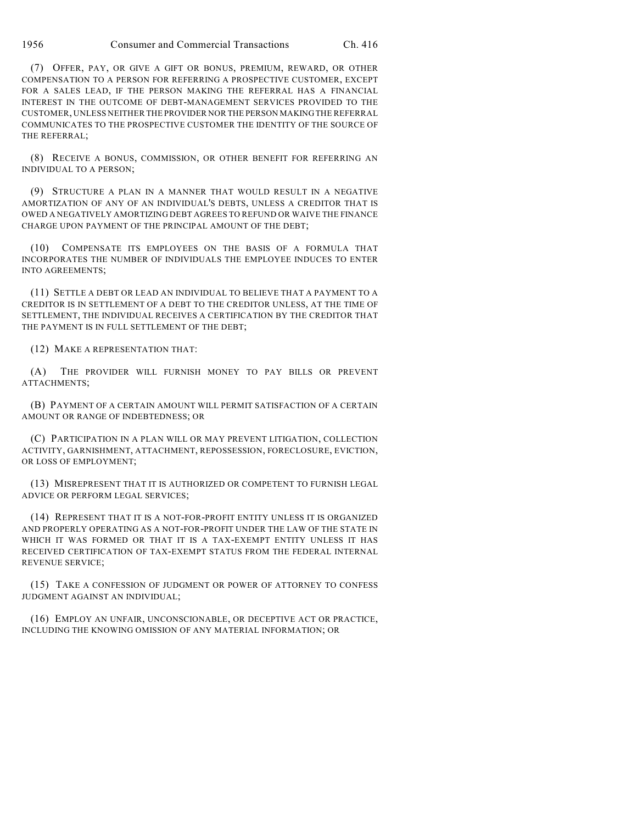(7) OFFER, PAY, OR GIVE A GIFT OR BONUS, PREMIUM, REWARD, OR OTHER COMPENSATION TO A PERSON FOR REFERRING A PROSPECTIVE CUSTOMER, EXCEPT FOR A SALES LEAD, IF THE PERSON MAKING THE REFERRAL HAS A FINANCIAL INTEREST IN THE OUTCOME OF DEBT-MANAGEMENT SERVICES PROVIDED TO THE CUSTOMER, UNLESS NEITHER THE PROVIDER NOR THE PERSON MAKING THE REFERRAL COMMUNICATES TO THE PROSPECTIVE CUSTOMER THE IDENTITY OF THE SOURCE OF THE REFERRAL;

(8) RECEIVE A BONUS, COMMISSION, OR OTHER BENEFIT FOR REFERRING AN INDIVIDUAL TO A PERSON;

(9) STRUCTURE A PLAN IN A MANNER THAT WOULD RESULT IN A NEGATIVE AMORTIZATION OF ANY OF AN INDIVIDUAL'S DEBTS, UNLESS A CREDITOR THAT IS OWED A NEGATIVELY AMORTIZING DEBT AGREES TO REFUND OR WAIVE THE FINANCE CHARGE UPON PAYMENT OF THE PRINCIPAL AMOUNT OF THE DEBT;

(10) COMPENSATE ITS EMPLOYEES ON THE BASIS OF A FORMULA THAT INCORPORATES THE NUMBER OF INDIVIDUALS THE EMPLOYEE INDUCES TO ENTER INTO AGREEMENTS;

(11) SETTLE A DEBT OR LEAD AN INDIVIDUAL TO BELIEVE THAT A PAYMENT TO A CREDITOR IS IN SETTLEMENT OF A DEBT TO THE CREDITOR UNLESS, AT THE TIME OF SETTLEMENT, THE INDIVIDUAL RECEIVES A CERTIFICATION BY THE CREDITOR THAT THE PAYMENT IS IN FULL SETTLEMENT OF THE DEBT;

(12) MAKE A REPRESENTATION THAT:

(A) THE PROVIDER WILL FURNISH MONEY TO PAY BILLS OR PREVENT ATTACHMENTS;

(B) PAYMENT OF A CERTAIN AMOUNT WILL PERMIT SATISFACTION OF A CERTAIN AMOUNT OR RANGE OF INDEBTEDNESS; OR

(C) PARTICIPATION IN A PLAN WILL OR MAY PREVENT LITIGATION, COLLECTION ACTIVITY, GARNISHMENT, ATTACHMENT, REPOSSESSION, FORECLOSURE, EVICTION, OR LOSS OF EMPLOYMENT;

(13) MISREPRESENT THAT IT IS AUTHORIZED OR COMPETENT TO FURNISH LEGAL ADVICE OR PERFORM LEGAL SERVICES;

(14) REPRESENT THAT IT IS A NOT-FOR-PROFIT ENTITY UNLESS IT IS ORGANIZED AND PROPERLY OPERATING AS A NOT-FOR-PROFIT UNDER THE LAW OF THE STATE IN WHICH IT WAS FORMED OR THAT IT IS A TAX-EXEMPT ENTITY UNLESS IT HAS RECEIVED CERTIFICATION OF TAX-EXEMPT STATUS FROM THE FEDERAL INTERNAL REVENUE SERVICE;

(15) TAKE A CONFESSION OF JUDGMENT OR POWER OF ATTORNEY TO CONFESS JUDGMENT AGAINST AN INDIVIDUAL;

(16) EMPLOY AN UNFAIR, UNCONSCIONABLE, OR DECEPTIVE ACT OR PRACTICE, INCLUDING THE KNOWING OMISSION OF ANY MATERIAL INFORMATION; OR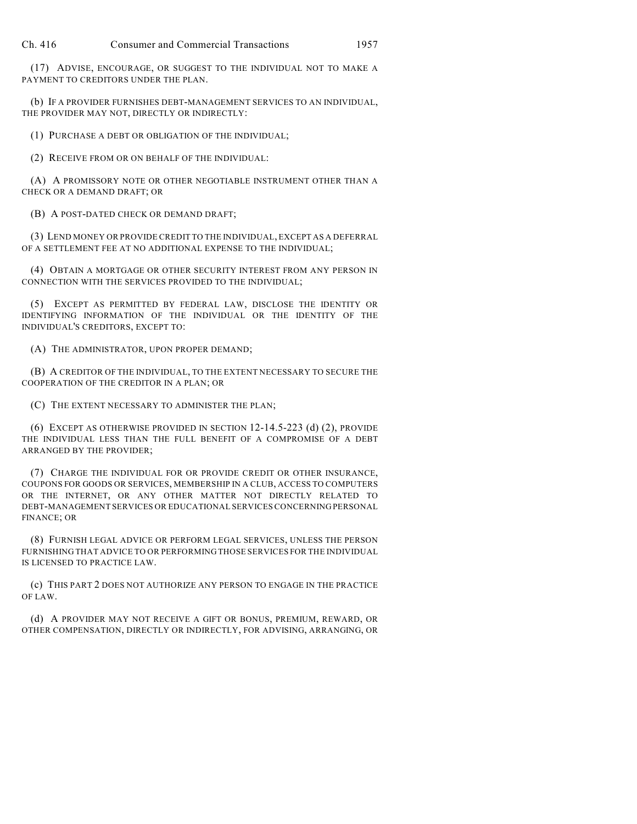(17) ADVISE, ENCOURAGE, OR SUGGEST TO THE INDIVIDUAL NOT TO MAKE A PAYMENT TO CREDITORS UNDER THE PLAN.

(b) IF A PROVIDER FURNISHES DEBT-MANAGEMENT SERVICES TO AN INDIVIDUAL, THE PROVIDER MAY NOT, DIRECTLY OR INDIRECTLY:

(1) PURCHASE A DEBT OR OBLIGATION OF THE INDIVIDUAL;

(2) RECEIVE FROM OR ON BEHALF OF THE INDIVIDUAL:

(A) A PROMISSORY NOTE OR OTHER NEGOTIABLE INSTRUMENT OTHER THAN A CHECK OR A DEMAND DRAFT; OR

(B) A POST-DATED CHECK OR DEMAND DRAFT;

(3) LEND MONEY OR PROVIDE CREDIT TO THE INDIVIDUAL, EXCEPT AS A DEFERRAL OF A SETTLEMENT FEE AT NO ADDITIONAL EXPENSE TO THE INDIVIDUAL;

(4) OBTAIN A MORTGAGE OR OTHER SECURITY INTEREST FROM ANY PERSON IN CONNECTION WITH THE SERVICES PROVIDED TO THE INDIVIDUAL;

(5) EXCEPT AS PERMITTED BY FEDERAL LAW, DISCLOSE THE IDENTITY OR IDENTIFYING INFORMATION OF THE INDIVIDUAL OR THE IDENTITY OF THE INDIVIDUAL'S CREDITORS, EXCEPT TO:

(A) THE ADMINISTRATOR, UPON PROPER DEMAND;

(B) A CREDITOR OF THE INDIVIDUAL, TO THE EXTENT NECESSARY TO SECURE THE COOPERATION OF THE CREDITOR IN A PLAN; OR

(C) THE EXTENT NECESSARY TO ADMINISTER THE PLAN;

(6) EXCEPT AS OTHERWISE PROVIDED IN SECTION 12-14.5-223 (d) (2), PROVIDE THE INDIVIDUAL LESS THAN THE FULL BENEFIT OF A COMPROMISE OF A DEBT ARRANGED BY THE PROVIDER;

(7) CHARGE THE INDIVIDUAL FOR OR PROVIDE CREDIT OR OTHER INSURANCE, COUPONS FOR GOODS OR SERVICES, MEMBERSHIP IN A CLUB, ACCESS TO COMPUTERS OR THE INTERNET, OR ANY OTHER MATTER NOT DIRECTLY RELATED TO DEBT-MANAGEMENT SERVICES OR EDUCATIONAL SERVICES CONCERNING PERSONAL FINANCE; OR

(8) FURNISH LEGAL ADVICE OR PERFORM LEGAL SERVICES, UNLESS THE PERSON FURNISHING THAT ADVICE TO OR PERFORMING THOSE SERVICES FOR THE INDIVIDUAL IS LICENSED TO PRACTICE LAW.

(c) THIS PART 2 DOES NOT AUTHORIZE ANY PERSON TO ENGAGE IN THE PRACTICE OF LAW.

(d) A PROVIDER MAY NOT RECEIVE A GIFT OR BONUS, PREMIUM, REWARD, OR OTHER COMPENSATION, DIRECTLY OR INDIRECTLY, FOR ADVISING, ARRANGING, OR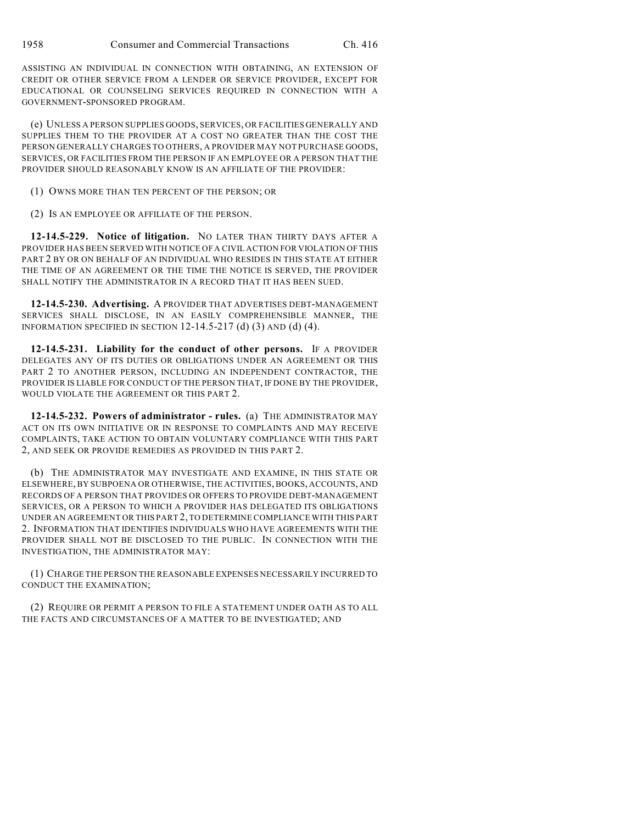ASSISTING AN INDIVIDUAL IN CONNECTION WITH OBTAINING, AN EXTENSION OF CREDIT OR OTHER SERVICE FROM A LENDER OR SERVICE PROVIDER, EXCEPT FOR EDUCATIONAL OR COUNSELING SERVICES REQUIRED IN CONNECTION WITH A GOVERNMENT-SPONSORED PROGRAM.

(e) UNLESS A PERSON SUPPLIES GOODS, SERVICES, OR FACILITIES GENERALLY AND SUPPLIES THEM TO THE PROVIDER AT A COST NO GREATER THAN THE COST THE PERSON GENERALLY CHARGES TO OTHERS, A PROVIDER MAY NOT PURCHASE GOODS, SERVICES, OR FACILITIES FROM THE PERSON IF AN EMPLOYEE OR A PERSON THAT THE PROVIDER SHOULD REASONABLY KNOW IS AN AFFILIATE OF THE PROVIDER:

(1) OWNS MORE THAN TEN PERCENT OF THE PERSON; OR

(2) IS AN EMPLOYEE OR AFFILIATE OF THE PERSON.

**12-14.5-229. Notice of litigation.** NO LATER THAN THIRTY DAYS AFTER A PROVIDER HAS BEEN SERVED WITH NOTICE OF A CIVIL ACTION FOR VIOLATION OF THIS PART 2 BY OR ON BEHALF OF AN INDIVIDUAL WHO RESIDES IN THIS STATE AT EITHER THE TIME OF AN AGREEMENT OR THE TIME THE NOTICE IS SERVED, THE PROVIDER SHALL NOTIFY THE ADMINISTRATOR IN A RECORD THAT IT HAS BEEN SUED.

**12-14.5-230. Advertising.** A PROVIDER THAT ADVERTISES DEBT-MANAGEMENT SERVICES SHALL DISCLOSE, IN AN EASILY COMPREHENSIBLE MANNER, THE INFORMATION SPECIFIED IN SECTION 12-14.5-217 (d) (3) AND (d) (4).

**12-14.5-231. Liability for the conduct of other persons.** IF A PROVIDER DELEGATES ANY OF ITS DUTIES OR OBLIGATIONS UNDER AN AGREEMENT OR THIS PART 2 TO ANOTHER PERSON, INCLUDING AN INDEPENDENT CONTRACTOR, THE PROVIDER IS LIABLE FOR CONDUCT OF THE PERSON THAT, IF DONE BY THE PROVIDER, WOULD VIOLATE THE AGREEMENT OR THIS PART 2.

**12-14.5-232. Powers of administrator - rules.** (a) THE ADMINISTRATOR MAY ACT ON ITS OWN INITIATIVE OR IN RESPONSE TO COMPLAINTS AND MAY RECEIVE COMPLAINTS, TAKE ACTION TO OBTAIN VOLUNTARY COMPLIANCE WITH THIS PART 2, AND SEEK OR PROVIDE REMEDIES AS PROVIDED IN THIS PART 2.

(b) THE ADMINISTRATOR MAY INVESTIGATE AND EXAMINE, IN THIS STATE OR ELSEWHERE, BY SUBPOENA OR OTHERWISE, THE ACTIVITIES, BOOKS, ACCOUNTS, AND RECORDS OF A PERSON THAT PROVIDES OR OFFERS TO PROVIDE DEBT-MANAGEMENT SERVICES, OR A PERSON TO WHICH A PROVIDER HAS DELEGATED ITS OBLIGATIONS UNDER AN AGREEMENT OR THIS PART 2, TO DETERMINE COMPLIANCE WITH THIS PART 2. INFORMATION THAT IDENTIFIES INDIVIDUALS WHO HAVE AGREEMENTS WITH THE PROVIDER SHALL NOT BE DISCLOSED TO THE PUBLIC. IN CONNECTION WITH THE INVESTIGATION, THE ADMINISTRATOR MAY:

(1) CHARGE THE PERSON THE REASONABLE EXPENSES NECESSARILY INCURRED TO CONDUCT THE EXAMINATION;

(2) REQUIRE OR PERMIT A PERSON TO FILE A STATEMENT UNDER OATH AS TO ALL THE FACTS AND CIRCUMSTANCES OF A MATTER TO BE INVESTIGATED; AND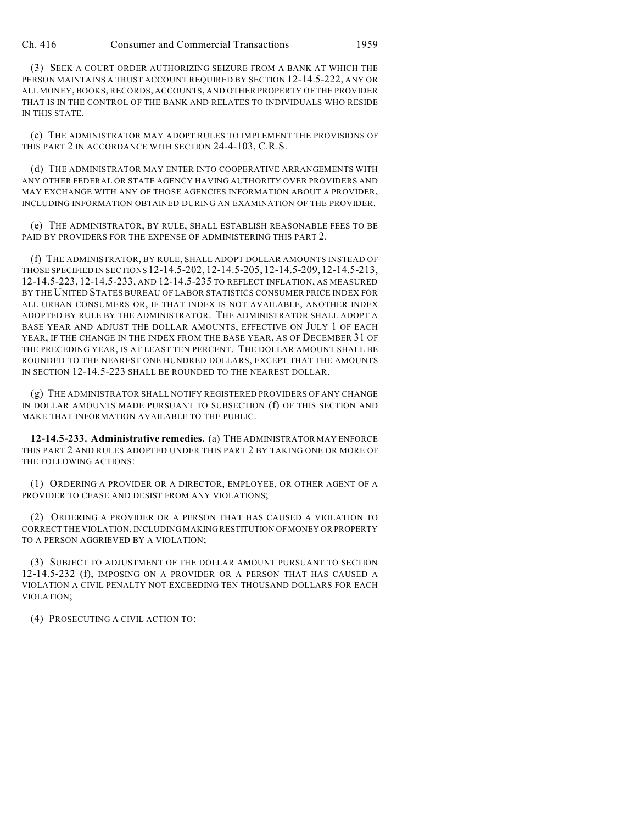(3) SEEK A COURT ORDER AUTHORIZING SEIZURE FROM A BANK AT WHICH THE PERSON MAINTAINS A TRUST ACCOUNT REQUIRED BY SECTION 12-14.5-222, ANY OR ALL MONEY, BOOKS, RECORDS, ACCOUNTS, AND OTHER PROPERTY OF THE PROVIDER THAT IS IN THE CONTROL OF THE BANK AND RELATES TO INDIVIDUALS WHO RESIDE IN THIS STATE.

(c) THE ADMINISTRATOR MAY ADOPT RULES TO IMPLEMENT THE PROVISIONS OF THIS PART 2 IN ACCORDANCE WITH SECTION 24-4-103, C.R.S.

(d) THE ADMINISTRATOR MAY ENTER INTO COOPERATIVE ARRANGEMENTS WITH ANY OTHER FEDERAL OR STATE AGENCY HAVING AUTHORITY OVER PROVIDERS AND MAY EXCHANGE WITH ANY OF THOSE AGENCIES INFORMATION ABOUT A PROVIDER, INCLUDING INFORMATION OBTAINED DURING AN EXAMINATION OF THE PROVIDER.

(e) THE ADMINISTRATOR, BY RULE, SHALL ESTABLISH REASONABLE FEES TO BE PAID BY PROVIDERS FOR THE EXPENSE OF ADMINISTERING THIS PART 2.

(f) THE ADMINISTRATOR, BY RULE, SHALL ADOPT DOLLAR AMOUNTS INSTEAD OF THOSE SPECIFIED IN SECTIONS 12-14.5-202, 12-14.5-205, 12-14.5-209, 12-14.5-213, 12-14.5-223, 12-14.5-233, AND 12-14.5-235 TO REFLECT INFLATION, AS MEASURED BY THE UNITED STATES BUREAU OF LABOR STATISTICS CONSUMER PRICE INDEX FOR ALL URBAN CONSUMERS OR, IF THAT INDEX IS NOT AVAILABLE, ANOTHER INDEX ADOPTED BY RULE BY THE ADMINISTRATOR. THE ADMINISTRATOR SHALL ADOPT A BASE YEAR AND ADJUST THE DOLLAR AMOUNTS, EFFECTIVE ON JULY 1 OF EACH YEAR, IF THE CHANGE IN THE INDEX FROM THE BASE YEAR, AS OF DECEMBER 31 OF THE PRECEDING YEAR, IS AT LEAST TEN PERCENT. THE DOLLAR AMOUNT SHALL BE ROUNDED TO THE NEAREST ONE HUNDRED DOLLARS, EXCEPT THAT THE AMOUNTS IN SECTION 12-14.5-223 SHALL BE ROUNDED TO THE NEAREST DOLLAR.

(g) THE ADMINISTRATOR SHALL NOTIFY REGISTERED PROVIDERS OF ANY CHANGE IN DOLLAR AMOUNTS MADE PURSUANT TO SUBSECTION (f) OF THIS SECTION AND MAKE THAT INFORMATION AVAILABLE TO THE PUBLIC.

**12-14.5-233. Administrative remedies.** (a) THE ADMINISTRATOR MAY ENFORCE THIS PART 2 AND RULES ADOPTED UNDER THIS PART 2 BY TAKING ONE OR MORE OF THE FOLLOWING ACTIONS:

(1) ORDERING A PROVIDER OR A DIRECTOR, EMPLOYEE, OR OTHER AGENT OF A PROVIDER TO CEASE AND DESIST FROM ANY VIOLATIONS;

(2) ORDERING A PROVIDER OR A PERSON THAT HAS CAUSED A VIOLATION TO CORRECT THE VIOLATION, INCLUDING MAKING RESTITUTION OF MONEY OR PROPERTY TO A PERSON AGGRIEVED BY A VIOLATION;

(3) SUBJECT TO ADJUSTMENT OF THE DOLLAR AMOUNT PURSUANT TO SECTION 12-14.5-232 (f), IMPOSING ON A PROVIDER OR A PERSON THAT HAS CAUSED A VIOLATION A CIVIL PENALTY NOT EXCEEDING TEN THOUSAND DOLLARS FOR EACH VIOLATION;

(4) PROSECUTING A CIVIL ACTION TO: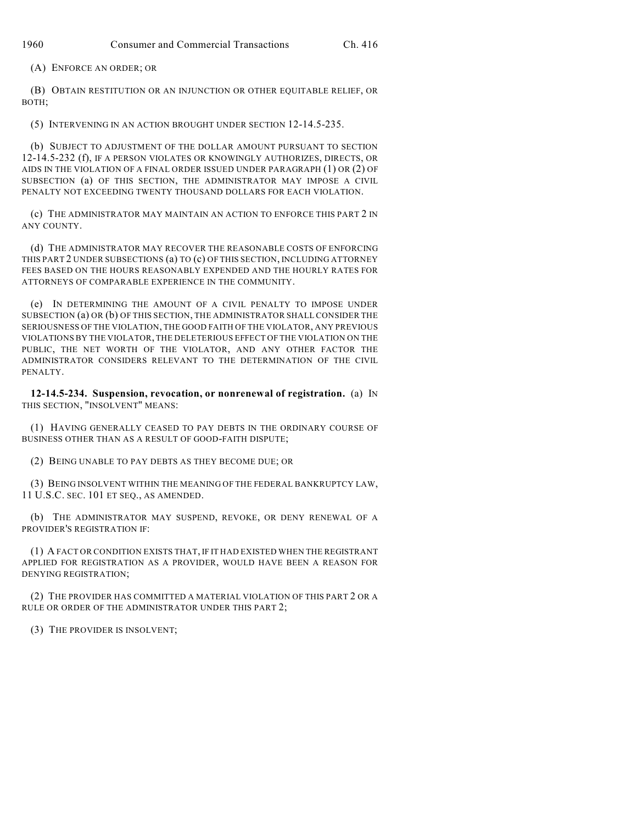(A) ENFORCE AN ORDER; OR

(B) OBTAIN RESTITUTION OR AN INJUNCTION OR OTHER EQUITABLE RELIEF, OR BOTH;

(5) INTERVENING IN AN ACTION BROUGHT UNDER SECTION 12-14.5-235.

(b) SUBJECT TO ADJUSTMENT OF THE DOLLAR AMOUNT PURSUANT TO SECTION 12-14.5-232 (f), IF A PERSON VIOLATES OR KNOWINGLY AUTHORIZES, DIRECTS, OR AIDS IN THE VIOLATION OF A FINAL ORDER ISSUED UNDER PARAGRAPH (1) OR (2) OF SUBSECTION (a) OF THIS SECTION, THE ADMINISTRATOR MAY IMPOSE A CIVIL PENALTY NOT EXCEEDING TWENTY THOUSAND DOLLARS FOR EACH VIOLATION.

(c) THE ADMINISTRATOR MAY MAINTAIN AN ACTION TO ENFORCE THIS PART 2 IN ANY COUNTY.

(d) THE ADMINISTRATOR MAY RECOVER THE REASONABLE COSTS OF ENFORCING THIS PART 2 UNDER SUBSECTIONS (a) TO (c) OF THIS SECTION, INCLUDING ATTORNEY FEES BASED ON THE HOURS REASONABLY EXPENDED AND THE HOURLY RATES FOR ATTORNEYS OF COMPARABLE EXPERIENCE IN THE COMMUNITY.

(e) IN DETERMINING THE AMOUNT OF A CIVIL PENALTY TO IMPOSE UNDER SUBSECTION (a) OR (b) OF THIS SECTION, THE ADMINISTRATOR SHALL CONSIDER THE SERIOUSNESS OF THE VIOLATION, THE GOOD FAITH OF THE VIOLATOR, ANY PREVIOUS VIOLATIONS BY THE VIOLATOR, THE DELETERIOUS EFFECT OF THE VIOLATION ON THE PUBLIC, THE NET WORTH OF THE VIOLATOR, AND ANY OTHER FACTOR THE ADMINISTRATOR CONSIDERS RELEVANT TO THE DETERMINATION OF THE CIVIL PENALTY.

**12-14.5-234. Suspension, revocation, or nonrenewal of registration.** (a) IN THIS SECTION, "INSOLVENT" MEANS:

(1) HAVING GENERALLY CEASED TO PAY DEBTS IN THE ORDINARY COURSE OF BUSINESS OTHER THAN AS A RESULT OF GOOD-FAITH DISPUTE;

(2) BEING UNABLE TO PAY DEBTS AS THEY BECOME DUE; OR

(3) BEING INSOLVENT WITHIN THE MEANING OF THE FEDERAL BANKRUPTCY LAW, 11 U.S.C. SEC. 101 ET SEQ., AS AMENDED.

(b) THE ADMINISTRATOR MAY SUSPEND, REVOKE, OR DENY RENEWAL OF A PROVIDER'S REGISTRATION IF:

(1) A FACT OR CONDITION EXISTS THAT, IF IT HAD EXISTED WHEN THE REGISTRANT APPLIED FOR REGISTRATION AS A PROVIDER, WOULD HAVE BEEN A REASON FOR DENYING REGISTRATION;

(2) THE PROVIDER HAS COMMITTED A MATERIAL VIOLATION OF THIS PART 2 OR A RULE OR ORDER OF THE ADMINISTRATOR UNDER THIS PART 2;

(3) THE PROVIDER IS INSOLVENT;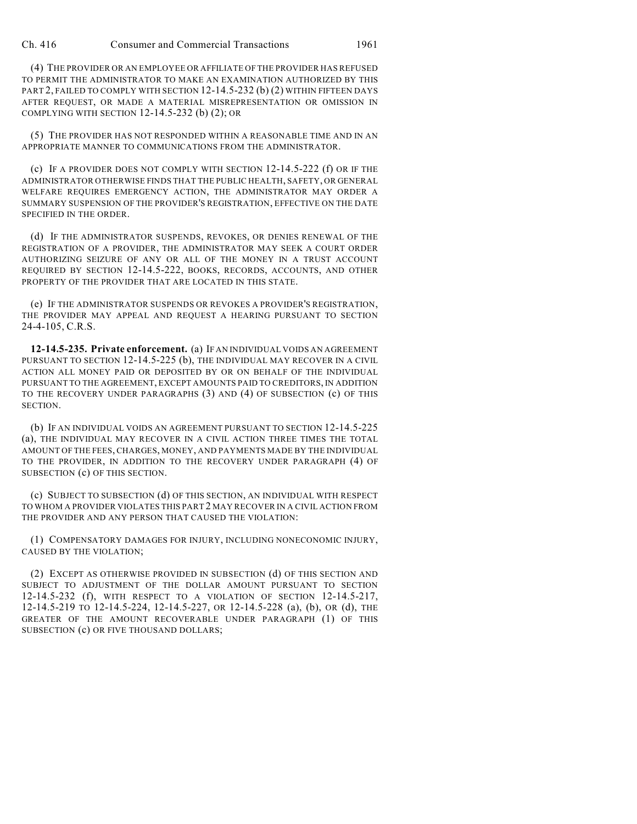(4) THE PROVIDER OR AN EMPLOYEE OR AFFILIATE OF THE PROVIDER HAS REFUSED TO PERMIT THE ADMINISTRATOR TO MAKE AN EXAMINATION AUTHORIZED BY THIS PART 2, FAILED TO COMPLY WITH SECTION 12-14.5-232 (b) (2) WITHIN FIFTEEN DAYS AFTER REQUEST, OR MADE A MATERIAL MISREPRESENTATION OR OMISSION IN COMPLYING WITH SECTION 12-14.5-232 (b) (2); OR

(5) THE PROVIDER HAS NOT RESPONDED WITHIN A REASONABLE TIME AND IN AN APPROPRIATE MANNER TO COMMUNICATIONS FROM THE ADMINISTRATOR.

(c) IF A PROVIDER DOES NOT COMPLY WITH SECTION 12-14.5-222 (f) OR IF THE ADMINISTRATOR OTHERWISE FINDS THAT THE PUBLIC HEALTH, SAFETY, OR GENERAL WELFARE REQUIRES EMERGENCY ACTION, THE ADMINISTRATOR MAY ORDER A SUMMARY SUSPENSION OF THE PROVIDER'S REGISTRATION, EFFECTIVE ON THE DATE SPECIFIED IN THE ORDER.

(d) IF THE ADMINISTRATOR SUSPENDS, REVOKES, OR DENIES RENEWAL OF THE REGISTRATION OF A PROVIDER, THE ADMINISTRATOR MAY SEEK A COURT ORDER AUTHORIZING SEIZURE OF ANY OR ALL OF THE MONEY IN A TRUST ACCOUNT REQUIRED BY SECTION 12-14.5-222, BOOKS, RECORDS, ACCOUNTS, AND OTHER PROPERTY OF THE PROVIDER THAT ARE LOCATED IN THIS STATE.

(e) IF THE ADMINISTRATOR SUSPENDS OR REVOKES A PROVIDER'S REGISTRATION, THE PROVIDER MAY APPEAL AND REQUEST A HEARING PURSUANT TO SECTION 24-4-105, C.R.S.

**12-14.5-235. Private enforcement.** (a) IF AN INDIVIDUAL VOIDS AN AGREEMENT PURSUANT TO SECTION 12-14.5-225 (b), THE INDIVIDUAL MAY RECOVER IN A CIVIL ACTION ALL MONEY PAID OR DEPOSITED BY OR ON BEHALF OF THE INDIVIDUAL PURSUANT TO THE AGREEMENT, EXCEPT AMOUNTS PAID TO CREDITORS, IN ADDITION TO THE RECOVERY UNDER PARAGRAPHS (3) AND (4) OF SUBSECTION (c) OF THIS SECTION.

(b) IF AN INDIVIDUAL VOIDS AN AGREEMENT PURSUANT TO SECTION 12-14.5-225 (a), THE INDIVIDUAL MAY RECOVER IN A CIVIL ACTION THREE TIMES THE TOTAL AMOUNT OF THE FEES, CHARGES, MONEY, AND PAYMENTS MADE BY THE INDIVIDUAL TO THE PROVIDER, IN ADDITION TO THE RECOVERY UNDER PARAGRAPH (4) OF SUBSECTION (c) OF THIS SECTION.

(c) SUBJECT TO SUBSECTION (d) OF THIS SECTION, AN INDIVIDUAL WITH RESPECT TO WHOM A PROVIDER VIOLATES THIS PART 2 MAY RECOVER IN A CIVIL ACTION FROM THE PROVIDER AND ANY PERSON THAT CAUSED THE VIOLATION:

(1) COMPENSATORY DAMAGES FOR INJURY, INCLUDING NONECONOMIC INJURY, CAUSED BY THE VIOLATION;

(2) EXCEPT AS OTHERWISE PROVIDED IN SUBSECTION (d) OF THIS SECTION AND SUBJECT TO ADJUSTMENT OF THE DOLLAR AMOUNT PURSUANT TO SECTION 12-14.5-232 (f), WITH RESPECT TO A VIOLATION OF SECTION 12-14.5-217, 12-14.5-219 TO 12-14.5-224, 12-14.5-227, OR 12-14.5-228 (a), (b), OR (d), THE GREATER OF THE AMOUNT RECOVERABLE UNDER PARAGRAPH (1) OF THIS SUBSECTION (c) OR FIVE THOUSAND DOLLARS;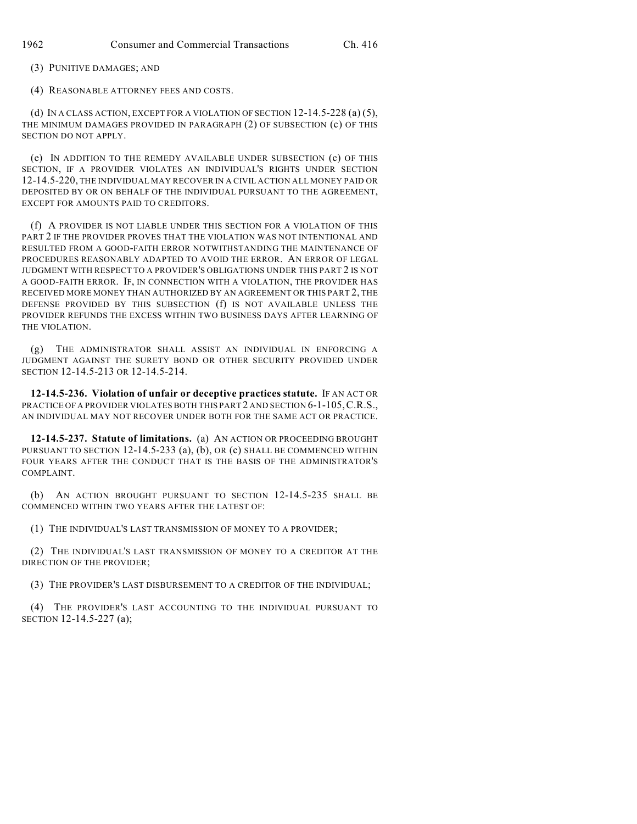(3) PUNITIVE DAMAGES; AND

(4) REASONABLE ATTORNEY FEES AND COSTS.

(d) IN A CLASS ACTION, EXCEPT FOR A VIOLATION OF SECTION  $12-14.5-228$  (a) (5), THE MINIMUM DAMAGES PROVIDED IN PARAGRAPH (2) OF SUBSECTION (c) OF THIS SECTION DO NOT APPLY.

(e) IN ADDITION TO THE REMEDY AVAILABLE UNDER SUBSECTION (c) OF THIS SECTION, IF A PROVIDER VIOLATES AN INDIVIDUAL'S RIGHTS UNDER SECTION 12-14.5-220, THE INDIVIDUAL MAY RECOVER IN A CIVIL ACTION ALL MONEY PAID OR DEPOSITED BY OR ON BEHALF OF THE INDIVIDUAL PURSUANT TO THE AGREEMENT, EXCEPT FOR AMOUNTS PAID TO CREDITORS.

(f) A PROVIDER IS NOT LIABLE UNDER THIS SECTION FOR A VIOLATION OF THIS PART 2 IF THE PROVIDER PROVES THAT THE VIOLATION WAS NOT INTENTIONAL AND RESULTED FROM A GOOD-FAITH ERROR NOTWITHSTANDING THE MAINTENANCE OF PROCEDURES REASONABLY ADAPTED TO AVOID THE ERROR. AN ERROR OF LEGAL JUDGMENT WITH RESPECT TO A PROVIDER'S OBLIGATIONS UNDER THIS PART 2 IS NOT A GOOD-FAITH ERROR. IF, IN CONNECTION WITH A VIOLATION, THE PROVIDER HAS RECEIVED MORE MONEY THAN AUTHORIZED BY AN AGREEMENT OR THIS PART 2, THE DEFENSE PROVIDED BY THIS SUBSECTION (f) IS NOT AVAILABLE UNLESS THE PROVIDER REFUNDS THE EXCESS WITHIN TWO BUSINESS DAYS AFTER LEARNING OF THE VIOLATION.

(g) THE ADMINISTRATOR SHALL ASSIST AN INDIVIDUAL IN ENFORCING A JUDGMENT AGAINST THE SURETY BOND OR OTHER SECURITY PROVIDED UNDER SECTION 12-14.5-213 OR 12-14.5-214.

**12-14.5-236. Violation of unfair or deceptive practices statute.** IF AN ACT OR PRACTICE OF A PROVIDER VIOLATES BOTH THIS PART 2 AND SECTION 6-1-105,C.R.S., AN INDIVIDUAL MAY NOT RECOVER UNDER BOTH FOR THE SAME ACT OR PRACTICE.

**12-14.5-237. Statute of limitations.** (a) AN ACTION OR PROCEEDING BROUGHT PURSUANT TO SECTION 12-14.5-233 (a), (b), OR (c) SHALL BE COMMENCED WITHIN FOUR YEARS AFTER THE CONDUCT THAT IS THE BASIS OF THE ADMINISTRATOR'S COMPLAINT.

(b) AN ACTION BROUGHT PURSUANT TO SECTION 12-14.5-235 SHALL BE COMMENCED WITHIN TWO YEARS AFTER THE LATEST OF:

(1) THE INDIVIDUAL'S LAST TRANSMISSION OF MONEY TO A PROVIDER;

(2) THE INDIVIDUAL'S LAST TRANSMISSION OF MONEY TO A CREDITOR AT THE DIRECTION OF THE PROVIDER;

(3) THE PROVIDER'S LAST DISBURSEMENT TO A CREDITOR OF THE INDIVIDUAL;

(4) THE PROVIDER'S LAST ACCOUNTING TO THE INDIVIDUAL PURSUANT TO SECTION 12-14.5-227 (a);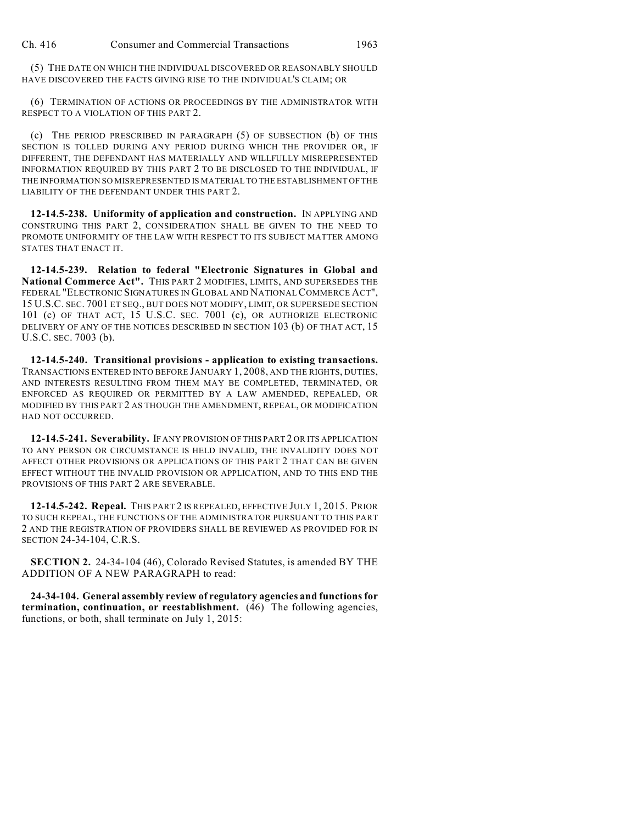(5) THE DATE ON WHICH THE INDIVIDUAL DISCOVERED OR REASONABLY SHOULD HAVE DISCOVERED THE FACTS GIVING RISE TO THE INDIVIDUAL'S CLAIM; OR

(6) TERMINATION OF ACTIONS OR PROCEEDINGS BY THE ADMINISTRATOR WITH RESPECT TO A VIOLATION OF THIS PART 2.

(c) THE PERIOD PRESCRIBED IN PARAGRAPH (5) OF SUBSECTION (b) OF THIS SECTION IS TOLLED DURING ANY PERIOD DURING WHICH THE PROVIDER OR, IF DIFFERENT, THE DEFENDANT HAS MATERIALLY AND WILLFULLY MISREPRESENTED INFORMATION REQUIRED BY THIS PART 2 TO BE DISCLOSED TO THE INDIVIDUAL, IF THE INFORMATION SO MISREPRESENTED IS MATERIAL TO THE ESTABLISHMENT OF THE LIABILITY OF THE DEFENDANT UNDER THIS PART 2.

**12-14.5-238. Uniformity of application and construction.** IN APPLYING AND CONSTRUING THIS PART 2, CONSIDERATION SHALL BE GIVEN TO THE NEED TO PROMOTE UNIFORMITY OF THE LAW WITH RESPECT TO ITS SUBJECT MATTER AMONG STATES THAT ENACT IT.

**12-14.5-239. Relation to federal "Electronic Signatures in Global and** National Commerce Act". THIS PART 2 MODIFIES, LIMITS, AND SUPERSEDES THE FEDERAL "ELECTRONIC SIGNATURES IN GLOBAL AND NATIONAL COMMERCE ACT", 15 U.S.C. SEC. 7001 ET SEQ., BUT DOES NOT MODIFY, LIMIT, OR SUPERSEDE SECTION 101 (c) OF THAT ACT, 15 U.S.C. SEC. 7001 (c), OR AUTHORIZE ELECTRONIC DELIVERY OF ANY OF THE NOTICES DESCRIBED IN SECTION 103 (b) OF THAT ACT, 15 U.S.C. SEC. 7003 (b).

**12-14.5-240. Transitional provisions - application to existing transactions.** TRANSACTIONS ENTERED INTO BEFORE JANUARY 1, 2008, AND THE RIGHTS, DUTIES, AND INTERESTS RESULTING FROM THEM MAY BE COMPLETED, TERMINATED, OR ENFORCED AS REQUIRED OR PERMITTED BY A LAW AMENDED, REPEALED, OR MODIFIED BY THIS PART 2 AS THOUGH THE AMENDMENT, REPEAL, OR MODIFICATION HAD NOT OCCURRED.

**12-14.5-241. Severability.** IF ANY PROVISION OF THIS PART 2 OR ITS APPLICATION TO ANY PERSON OR CIRCUMSTANCE IS HELD INVALID, THE INVALIDITY DOES NOT AFFECT OTHER PROVISIONS OR APPLICATIONS OF THIS PART 2 THAT CAN BE GIVEN EFFECT WITHOUT THE INVALID PROVISION OR APPLICATION, AND TO THIS END THE PROVISIONS OF THIS PART 2 ARE SEVERABLE.

**12-14.5-242. Repeal.** THIS PART 2 IS REPEALED, EFFECTIVE JULY 1, 2015. PRIOR TO SUCH REPEAL, THE FUNCTIONS OF THE ADMINISTRATOR PURSUANT TO THIS PART 2 AND THE REGISTRATION OF PROVIDERS SHALL BE REVIEWED AS PROVIDED FOR IN SECTION 24-34-104, C.R.S.

**SECTION 2.** 24-34-104 (46), Colorado Revised Statutes, is amended BY THE ADDITION OF A NEW PARAGRAPH to read:

**24-34-104. General assembly review of regulatory agencies and functions for termination, continuation, or reestablishment.** (46) The following agencies, functions, or both, shall terminate on July 1, 2015: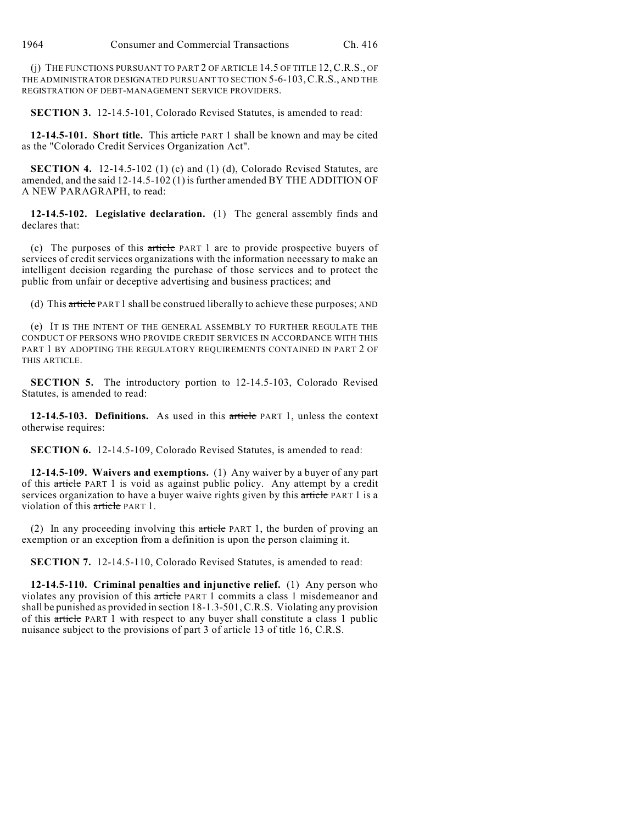(j) THE FUNCTIONS PURSUANT TO PART 2 OF ARTICLE 14.5 OF TITLE 12, C.R.S., OF THE ADMINISTRATOR DESIGNATED PURSUANT TO SECTION 5-6-103,C.R.S., AND THE REGISTRATION OF DEBT-MANAGEMENT SERVICE PROVIDERS.

**SECTION 3.** 12-14.5-101, Colorado Revised Statutes, is amended to read:

**12-14.5-101. Short title.** This article PART 1 shall be known and may be cited as the "Colorado Credit Services Organization Act".

**SECTION 4.** 12-14.5-102 (1) (c) and (1) (d), Colorado Revised Statutes, are amended, and the said 12-14.5-102 (1) is further amended BY THE ADDITION OF A NEW PARAGRAPH, to read:

**12-14.5-102. Legislative declaration.** (1) The general assembly finds and declares that:

(c) The purposes of this article PART 1 are to provide prospective buyers of services of credit services organizations with the information necessary to make an intelligent decision regarding the purchase of those services and to protect the public from unfair or deceptive advertising and business practices; and

(d) This article PART 1 shall be construed liberally to achieve these purposes; AND

(e) IT IS THE INTENT OF THE GENERAL ASSEMBLY TO FURTHER REGULATE THE CONDUCT OF PERSONS WHO PROVIDE CREDIT SERVICES IN ACCORDANCE WITH THIS PART 1 BY ADOPTING THE REGULATORY REQUIREMENTS CONTAINED IN PART 2 OF THIS ARTICLE.

**SECTION 5.** The introductory portion to 12-14.5-103, Colorado Revised Statutes, is amended to read:

**12-14.5-103. Definitions.** As used in this article PART 1, unless the context otherwise requires:

**SECTION 6.** 12-14.5-109, Colorado Revised Statutes, is amended to read:

**12-14.5-109. Waivers and exemptions.** (1) Any waiver by a buyer of any part of this article PART 1 is void as against public policy. Any attempt by a credit services organization to have a buyer waive rights given by this article PART 1 is a violation of this article PART 1.

(2) In any proceeding involving this article PART 1, the burden of proving an exemption or an exception from a definition is upon the person claiming it.

**SECTION 7.** 12-14.5-110, Colorado Revised Statutes, is amended to read:

**12-14.5-110. Criminal penalties and injunctive relief.** (1) Any person who violates any provision of this article PART 1 commits a class 1 misdemeanor and shall be punished as provided in section 18-1.3-501, C.R.S. Violating any provision of this article PART 1 with respect to any buyer shall constitute a class 1 public nuisance subject to the provisions of part 3 of article 13 of title 16, C.R.S.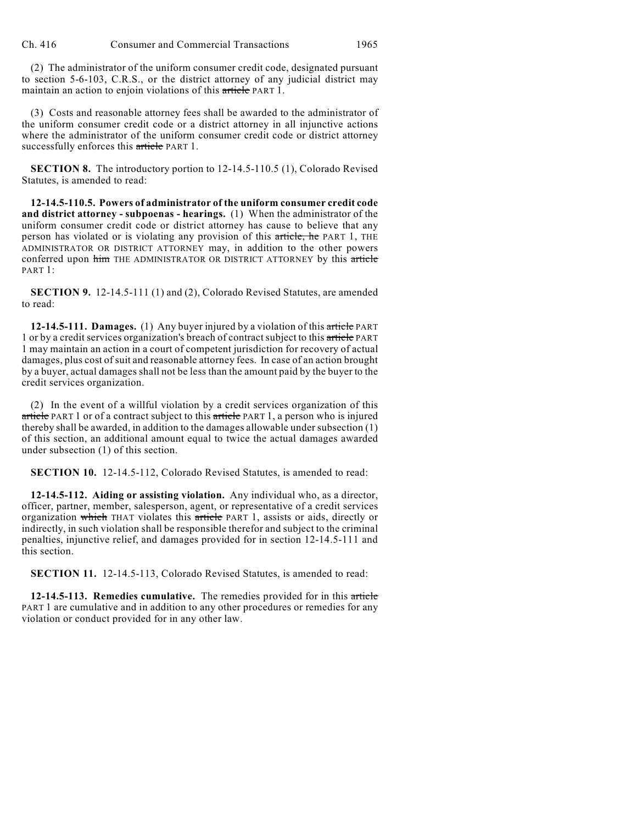(2) The administrator of the uniform consumer credit code, designated pursuant to section 5-6-103, C.R.S., or the district attorney of any judicial district may maintain an action to enjoin violations of this article PART 1.

(3) Costs and reasonable attorney fees shall be awarded to the administrator of the uniform consumer credit code or a district attorney in all injunctive actions where the administrator of the uniform consumer credit code or district attorney successfully enforces this article PART 1.

**SECTION 8.** The introductory portion to 12-14.5-110.5 (1), Colorado Revised Statutes, is amended to read:

**12-14.5-110.5. Powers of administrator of the uniform consumer credit code and district attorney - subpoenas - hearings.** (1) When the administrator of the uniform consumer credit code or district attorney has cause to believe that any person has violated or is violating any provision of this article, he PART 1, THE ADMINISTRATOR OR DISTRICT ATTORNEY may, in addition to the other powers conferred upon him THE ADMINISTRATOR OR DISTRICT ATTORNEY by this article PART 1:

**SECTION 9.** 12-14.5-111 (1) and (2), Colorado Revised Statutes, are amended to read:

**12-14.5-111. Damages.** (1) Any buyer injured by a violation of this article PART 1 or by a credit services organization's breach of contract subject to this article PART 1 may maintain an action in a court of competent jurisdiction for recovery of actual damages, plus cost of suit and reasonable attorney fees. In case of an action brought by a buyer, actual damages shall not be less than the amount paid by the buyer to the credit services organization.

(2) In the event of a willful violation by a credit services organization of this article PART 1 or of a contract subject to this article PART 1, a person who is injured thereby shall be awarded, in addition to the damages allowable under subsection (1) of this section, an additional amount equal to twice the actual damages awarded under subsection (1) of this section.

**SECTION 10.** 12-14.5-112, Colorado Revised Statutes, is amended to read:

**12-14.5-112. Aiding or assisting violation.** Any individual who, as a director, officer, partner, member, salesperson, agent, or representative of a credit services organization which THAT violates this article PART 1, assists or aids, directly or indirectly, in such violation shall be responsible therefor and subject to the criminal penalties, injunctive relief, and damages provided for in section 12-14.5-111 and this section.

**SECTION 11.** 12-14.5-113, Colorado Revised Statutes, is amended to read:

**12-14.5-113. Remedies cumulative.** The remedies provided for in this article PART 1 are cumulative and in addition to any other procedures or remedies for any violation or conduct provided for in any other law.